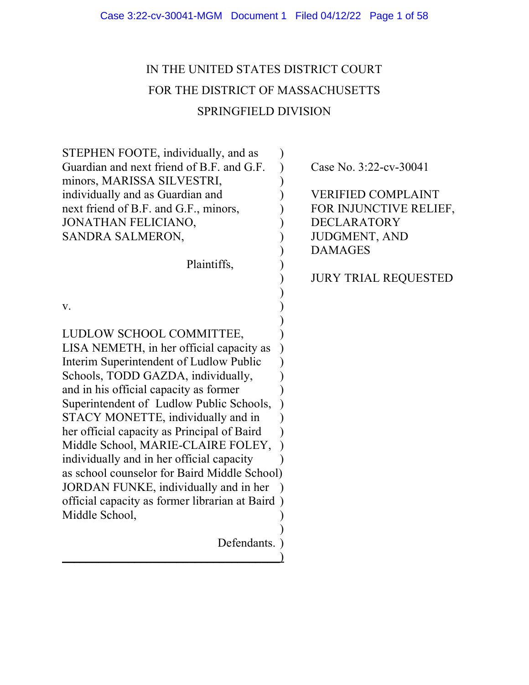# IN THE UNITED STATES DISTRICT COURT FOR THE DISTRICT OF MASSACHUSETTS SPRINGFIELD DIVISION

| STEPHEN FOOTE, individually, and as             |                             |
|-------------------------------------------------|-----------------------------|
| Guardian and next friend of B.F. and G.F.       | Case No. 3:22-cv-30041      |
| minors, MARISSA SILVESTRI,                      |                             |
| individually and as Guardian and                | <b>VERIFIED COMPLAINT</b>   |
| next friend of B.F. and G.F., minors,           | FOR INJUNCTIVE RELIEF,      |
| JONATHAN FELICIANO,                             | <b>DECLARATORY</b>          |
| SANDRA SALMERON,                                | <b>JUDGMENT, AND</b>        |
|                                                 | <b>DAMAGES</b>              |
| Plaintiffs,                                     |                             |
|                                                 | <b>JURY TRIAL REQUESTED</b> |
|                                                 |                             |
| V.                                              |                             |
|                                                 |                             |
| LUDLOW SCHOOL COMMITTEE,                        |                             |
| LISA NEMETH, in her official capacity as        |                             |
| Interim Superintendent of Ludlow Public         |                             |
| Schools, TODD GAZDA, individually,              |                             |
| and in his official capacity as former          |                             |
| Superintendent of Ludlow Public Schools,        |                             |
| STACY MONETTE, individually and in              |                             |
| her official capacity as Principal of Baird     |                             |
| Middle School, MARIE-CLAIRE FOLEY,              |                             |
| individually and in her official capacity       |                             |
| as school counselor for Baird Middle School)    |                             |
| JORDAN FUNKE, individually and in her           |                             |
| official capacity as former librarian at Baird) |                             |
| Middle School,                                  |                             |
|                                                 |                             |
| Defendants.                                     |                             |
|                                                 |                             |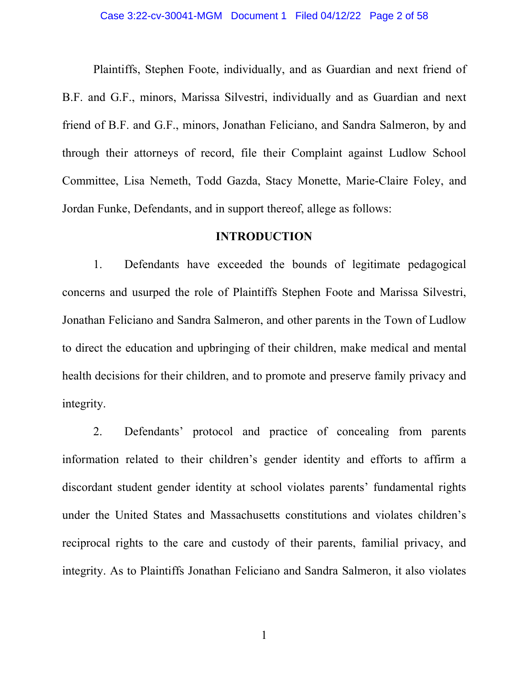#### Case 3:22-cv-30041-MGM Document 1 Filed 04/12/22 Page 2 of 58

Plaintiffs, Stephen Foote, individually, and as Guardian and next friend of B.F. and G.F., minors, Marissa Silvestri, individually and as Guardian and next friend of B.F. and G.F., minors, Jonathan Feliciano, and Sandra Salmeron, by and through their attorneys of record, file their Complaint against Ludlow School Committee, Lisa Nemeth, Todd Gazda, Stacy Monette, Marie-Claire Foley, and Jordan Funke, Defendants, and in support thereof, allege as follows:

# **INTRODUCTION**

1. Defendants have exceeded the bounds of legitimate pedagogical concerns and usurped the role of Plaintiffs Stephen Foote and Marissa Silvestri, Jonathan Feliciano and Sandra Salmeron, and other parents in the Town of Ludlow to direct the education and upbringing of their children, make medical and mental health decisions for their children, and to promote and preserve family privacy and integrity.

2. Defendants' protocol and practice of concealing from parents information related to their children's gender identity and efforts to affirm a discordant student gender identity at school violates parents' fundamental rights under the United States and Massachusetts constitutions and violates children's reciprocal rights to the care and custody of their parents, familial privacy, and integrity. As to Plaintiffs Jonathan Feliciano and Sandra Salmeron, it also violates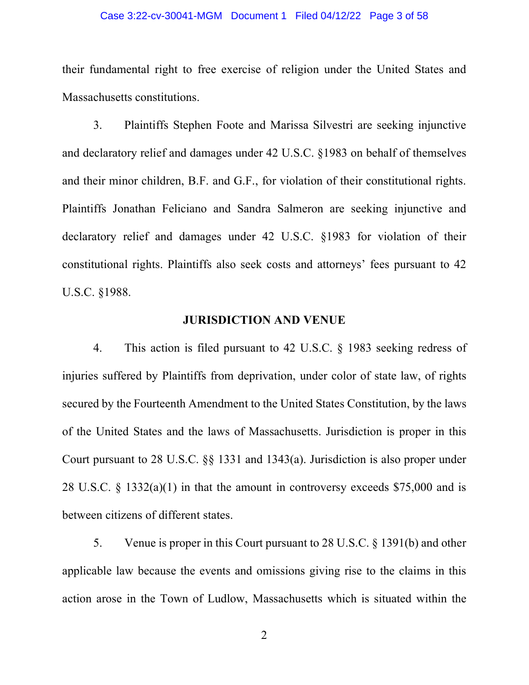#### Case 3:22-cv-30041-MGM Document 1 Filed 04/12/22 Page 3 of 58

their fundamental right to free exercise of religion under the United States and Massachusetts constitutions.

3. Plaintiffs Stephen Foote and Marissa Silvestri are seeking injunctive and declaratory relief and damages under 42 U.S.C. §1983 on behalf of themselves and their minor children, B.F. and G.F., for violation of their constitutional rights. Plaintiffs Jonathan Feliciano and Sandra Salmeron are seeking injunctive and declaratory relief and damages under 42 U.S.C. §1983 for violation of their constitutional rights. Plaintiffs also seek costs and attorneys' fees pursuant to 42 U.S.C. §1988.

# **JURISDICTION AND VENUE**

4. This action is filed pursuant to 42 U.S.C. § 1983 seeking redress of injuries suffered by Plaintiffs from deprivation, under color of state law, of rights secured by the Fourteenth Amendment to the United States Constitution, by the laws of the United States and the laws of Massachusetts. Jurisdiction is proper in this Court pursuant to 28 U.S.C. §§ 1331 and 1343(a). Jurisdiction is also proper under 28 U.S.C.  $\S$  1332(a)(1) in that the amount in controversy exceeds \$75,000 and is between citizens of different states.

5. Venue is proper in this Court pursuant to 28 U.S.C. § 1391(b) and other applicable law because the events and omissions giving rise to the claims in this action arose in the Town of Ludlow, Massachusetts which is situated within the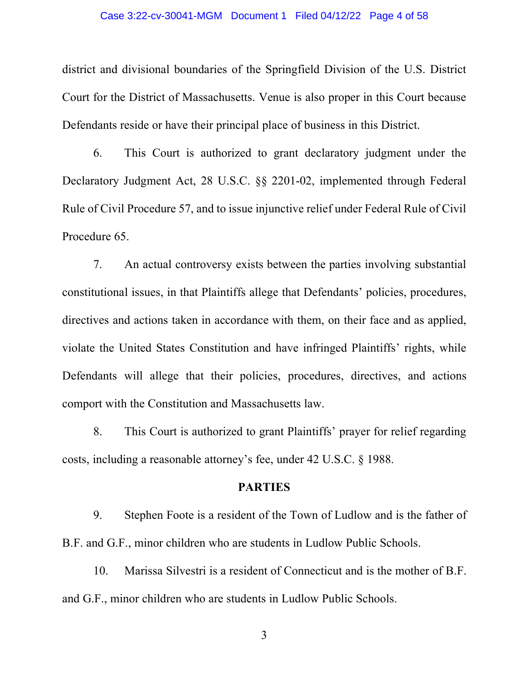#### Case 3:22-cv-30041-MGM Document 1 Filed 04/12/22 Page 4 of 58

district and divisional boundaries of the Springfield Division of the U.S. District Court for the District of Massachusetts. Venue is also proper in this Court because Defendants reside or have their principal place of business in this District.

6. This Court is authorized to grant declaratory judgment under the Declaratory Judgment Act, 28 U.S.C. §§ 2201-02, implemented through Federal Rule of Civil Procedure 57, and to issue injunctive relief under Federal Rule of Civil Procedure 65.

7. An actual controversy exists between the parties involving substantial constitutional issues, in that Plaintiffs allege that Defendants' policies, procedures, directives and actions taken in accordance with them, on their face and as applied, violate the United States Constitution and have infringed Plaintiffs' rights, while Defendants will allege that their policies, procedures, directives, and actions comport with the Constitution and Massachusetts law.

8. This Court is authorized to grant Plaintiffs' prayer for relief regarding costs, including a reasonable attorney's fee, under 42 U.S.C. § 1988.

# **PARTIES**

9. Stephen Foote is a resident of the Town of Ludlow and is the father of B.F. and G.F., minor children who are students in Ludlow Public Schools.

10. Marissa Silvestri is a resident of Connecticut and is the mother of B.F. and G.F., minor children who are students in Ludlow Public Schools.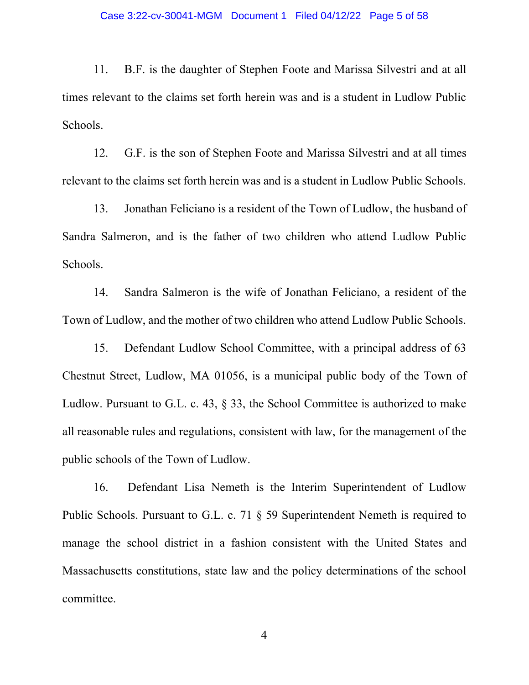#### Case 3:22-cv-30041-MGM Document 1 Filed 04/12/22 Page 5 of 58

11. B.F. is the daughter of Stephen Foote and Marissa Silvestri and at all times relevant to the claims set forth herein was and is a student in Ludlow Public Schools.

12. G.F. is the son of Stephen Foote and Marissa Silvestri and at all times relevant to the claims set forth herein was and is a student in Ludlow Public Schools.

13. Jonathan Feliciano is a resident of the Town of Ludlow, the husband of Sandra Salmeron, and is the father of two children who attend Ludlow Public Schools.

14. Sandra Salmeron is the wife of Jonathan Feliciano, a resident of the Town of Ludlow, and the mother of two children who attend Ludlow Public Schools.

15. Defendant Ludlow School Committee, with a principal address of 63 Chestnut Street, Ludlow, MA 01056, is a municipal public body of the Town of Ludlow. Pursuant to G.L. c. 43, § 33, the School Committee is authorized to make all reasonable rules and regulations, consistent with law, for the management of the public schools of the Town of Ludlow.

16. Defendant Lisa Nemeth is the Interim Superintendent of Ludlow Public Schools. Pursuant to G.L. c. 71 § 59 Superintendent Nemeth is required to manage the school district in a fashion consistent with the United States and Massachusetts constitutions, state law and the policy determinations of the school committee.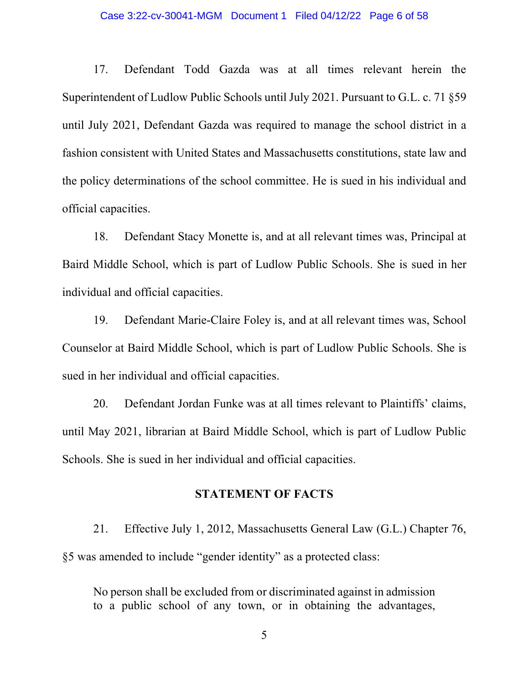#### Case 3:22-cv-30041-MGM Document 1 Filed 04/12/22 Page 6 of 58

17. Defendant Todd Gazda was at all times relevant herein the Superintendent of Ludlow Public Schools until July 2021. Pursuant to G.L. c. 71 §59 until July 2021, Defendant Gazda was required to manage the school district in a fashion consistent with United States and Massachusetts constitutions, state law and the policy determinations of the school committee. He is sued in his individual and official capacities.

18. Defendant Stacy Monette is, and at all relevant times was, Principal at Baird Middle School, which is part of Ludlow Public Schools. She is sued in her individual and official capacities.

19. Defendant Marie-Claire Foley is, and at all relevant times was, School Counselor at Baird Middle School, which is part of Ludlow Public Schools. She is sued in her individual and official capacities.

20. Defendant Jordan Funke was at all times relevant to Plaintiffs' claims, until May 2021, librarian at Baird Middle School, which is part of Ludlow Public Schools. She is sued in her individual and official capacities.

# **STATEMENT OF FACTS**

21. Effective July 1, 2012, Massachusetts General Law (G.L.) Chapter 76, §5 was amended to include "gender identity" as a protected class:

No person shall be excluded from or discriminated against in admission to a public school of any town, or in obtaining the advantages,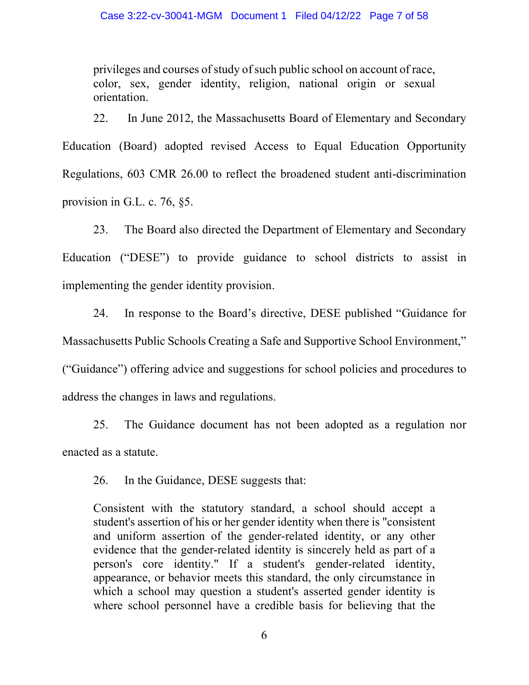privileges and courses of study of such public school on account of race, color, sex, gender identity, religion, national origin or sexual orientation.

22. In June 2012, the Massachusetts Board of Elementary and Secondary Education (Board) adopted revised Access to Equal Education Opportunity Regulations, 603 CMR 26.00 to reflect the broadened student anti-discrimination provision in G.L. c. 76, §5.

23. The Board also directed the Department of Elementary and Secondary Education ("DESE") to provide guidance to school districts to assist in implementing the gender identity provision.

24. In response to the Board's directive, DESE published "Guidance for Massachusetts Public Schools Creating a Safe and Supportive School Environment," ("Guidance") offering advice and suggestions for school policies and procedures to address the changes in laws and regulations.

25. The Guidance document has not been adopted as a regulation nor enacted as a statute.

26. In the Guidance, DESE suggests that:

Consistent with the statutory standard, a school should accept a student's assertion of his or her gender identity when there is "consistent and uniform assertion of the gender-related identity, or any other evidence that the gender-related identity is sincerely held as part of a person's core identity." If a student's gender-related identity, appearance, or behavior meets this standard, the only circumstance in which a school may question a student's asserted gender identity is where school personnel have a credible basis for believing that the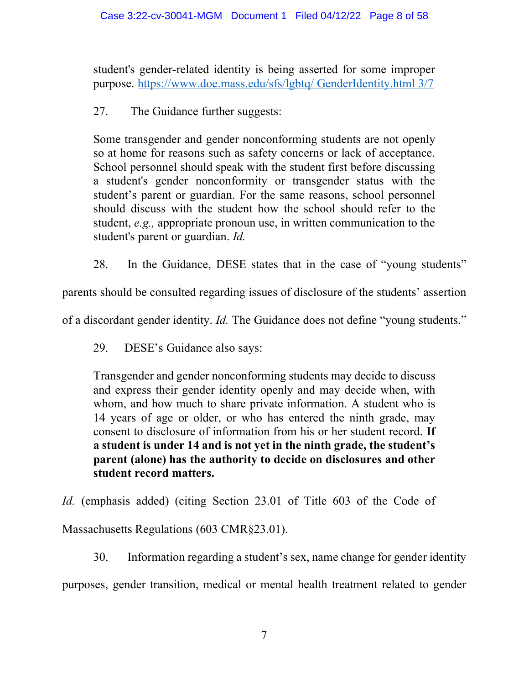student's gender-related identity is being asserted for some improper purpose. https://www.doe.mass.edu/sfs/lgbtq/ GenderIdentity.html 3/7

27. The Guidance further suggests:

Some transgender and gender nonconforming students are not openly so at home for reasons such as safety concerns or lack of acceptance. School personnel should speak with the student first before discussing a student's gender nonconformity or transgender status with the student's parent or guardian. For the same reasons, school personnel should discuss with the student how the school should refer to the student, *e.g.,* appropriate pronoun use, in written communication to the student's parent or guardian. *Id.*

28. In the Guidance, DESE states that in the case of "young students"

parents should be consulted regarding issues of disclosure of the students' assertion

of a discordant gender identity. *Id.* The Guidance does not define "young students."

29. DESE's Guidance also says:

Transgender and gender nonconforming students may decide to discuss and express their gender identity openly and may decide when, with whom, and how much to share private information. A student who is 14 years of age or older, or who has entered the ninth grade, may consent to disclosure of information from his or her student record. **If a student is under 14 and is not yet in the ninth grade, the student's parent (alone) has the authority to decide on disclosures and other student record matters.** 

*Id.* (emphasis added) (citing Section 23.01 of Title 603 of the Code of

Massachusetts Regulations (603 CMR§23.01).

30. Information regarding a student's sex, name change for gender identity

purposes, gender transition, medical or mental health treatment related to gender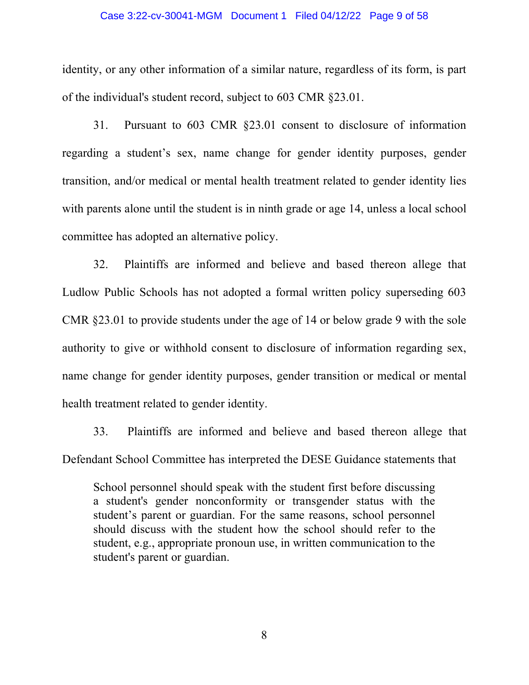#### Case 3:22-cv-30041-MGM Document 1 Filed 04/12/22 Page 9 of 58

identity, or any other information of a similar nature, regardless of its form, is part of the individual's student record, subject to 603 CMR §23.01.

31. Pursuant to 603 CMR §23.01 consent to disclosure of information regarding a student's sex, name change for gender identity purposes, gender transition, and/or medical or mental health treatment related to gender identity lies with parents alone until the student is in ninth grade or age 14, unless a local school committee has adopted an alternative policy.

32. Plaintiffs are informed and believe and based thereon allege that Ludlow Public Schools has not adopted a formal written policy superseding 603 CMR §23.01 to provide students under the age of 14 or below grade 9 with the sole authority to give or withhold consent to disclosure of information regarding sex, name change for gender identity purposes, gender transition or medical or mental health treatment related to gender identity.

33. Plaintiffs are informed and believe and based thereon allege that Defendant School Committee has interpreted the DESE Guidance statements that

School personnel should speak with the student first before discussing a student's gender nonconformity or transgender status with the student's parent or guardian. For the same reasons, school personnel should discuss with the student how the school should refer to the student, e.g., appropriate pronoun use, in written communication to the student's parent or guardian.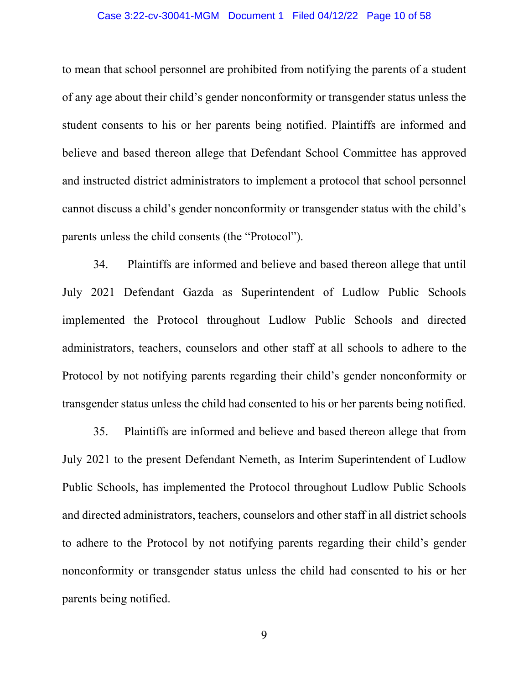#### Case 3:22-cv-30041-MGM Document 1 Filed 04/12/22 Page 10 of 58

to mean that school personnel are prohibited from notifying the parents of a student of any age about their child's gender nonconformity or transgender status unless the student consents to his or her parents being notified. Plaintiffs are informed and believe and based thereon allege that Defendant School Committee has approved and instructed district administrators to implement a protocol that school personnel cannot discuss a child's gender nonconformity or transgender status with the child's parents unless the child consents (the "Protocol").

34. Plaintiffs are informed and believe and based thereon allege that until July 2021 Defendant Gazda as Superintendent of Ludlow Public Schools implemented the Protocol throughout Ludlow Public Schools and directed administrators, teachers, counselors and other staff at all schools to adhere to the Protocol by not notifying parents regarding their child's gender nonconformity or transgender status unless the child had consented to his or her parents being notified.

35. Plaintiffs are informed and believe and based thereon allege that from July 2021 to the present Defendant Nemeth, as Interim Superintendent of Ludlow Public Schools, has implemented the Protocol throughout Ludlow Public Schools and directed administrators, teachers, counselors and other staff in all district schools to adhere to the Protocol by not notifying parents regarding their child's gender nonconformity or transgender status unless the child had consented to his or her parents being notified.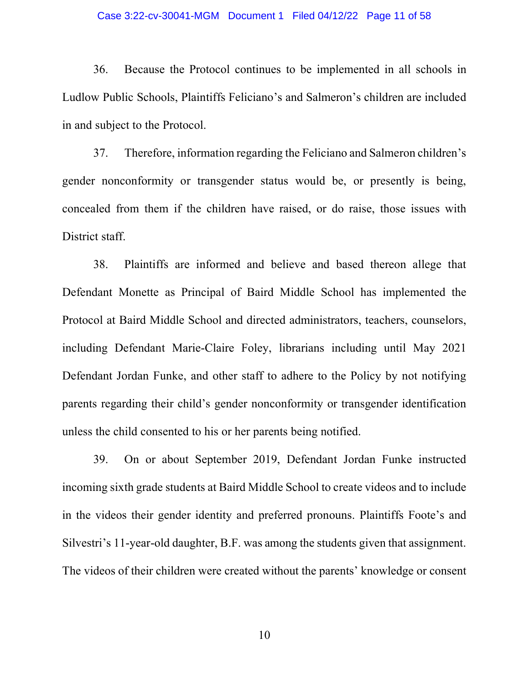#### Case 3:22-cv-30041-MGM Document 1 Filed 04/12/22 Page 11 of 58

36. Because the Protocol continues to be implemented in all schools in Ludlow Public Schools, Plaintiffs Feliciano's and Salmeron's children are included in and subject to the Protocol.

37. Therefore, information regarding the Feliciano and Salmeron children's gender nonconformity or transgender status would be, or presently is being, concealed from them if the children have raised, or do raise, those issues with District staff.

38. Plaintiffs are informed and believe and based thereon allege that Defendant Monette as Principal of Baird Middle School has implemented the Protocol at Baird Middle School and directed administrators, teachers, counselors, including Defendant Marie-Claire Foley, librarians including until May 2021 Defendant Jordan Funke, and other staff to adhere to the Policy by not notifying parents regarding their child's gender nonconformity or transgender identification unless the child consented to his or her parents being notified.

39. On or about September 2019, Defendant Jordan Funke instructed incoming sixth grade students at Baird Middle School to create videos and to include in the videos their gender identity and preferred pronouns. Plaintiffs Foote's and Silvestri's 11-year-old daughter, B.F. was among the students given that assignment. The videos of their children were created without the parents' knowledge or consent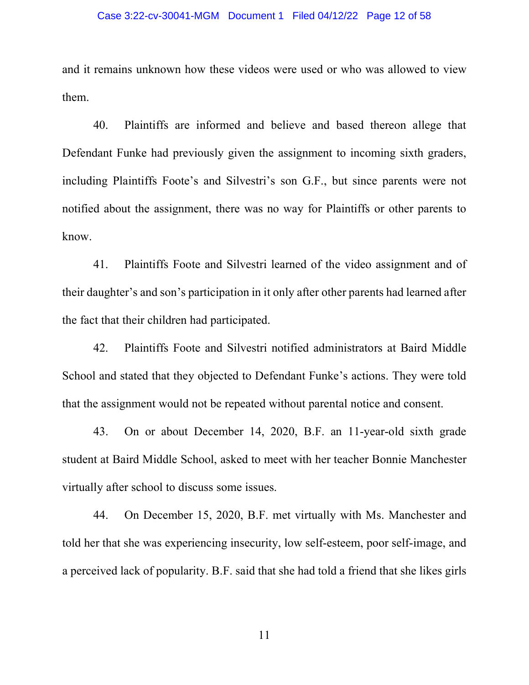#### Case 3:22-cv-30041-MGM Document 1 Filed 04/12/22 Page 12 of 58

and it remains unknown how these videos were used or who was allowed to view them.

40. Plaintiffs are informed and believe and based thereon allege that Defendant Funke had previously given the assignment to incoming sixth graders, including Plaintiffs Foote's and Silvestri's son G.F., but since parents were not notified about the assignment, there was no way for Plaintiffs or other parents to know.

41. Plaintiffs Foote and Silvestri learned of the video assignment and of their daughter's and son's participation in it only after other parents had learned after the fact that their children had participated.

42. Plaintiffs Foote and Silvestri notified administrators at Baird Middle School and stated that they objected to Defendant Funke's actions. They were told that the assignment would not be repeated without parental notice and consent.

43. On or about December 14, 2020, B.F. an 11-year-old sixth grade student at Baird Middle School, asked to meet with her teacher Bonnie Manchester virtually after school to discuss some issues.

44. On December 15, 2020, B.F. met virtually with Ms. Manchester and told her that she was experiencing insecurity, low self-esteem, poor self-image, and a perceived lack of popularity. B.F. said that she had told a friend that she likes girls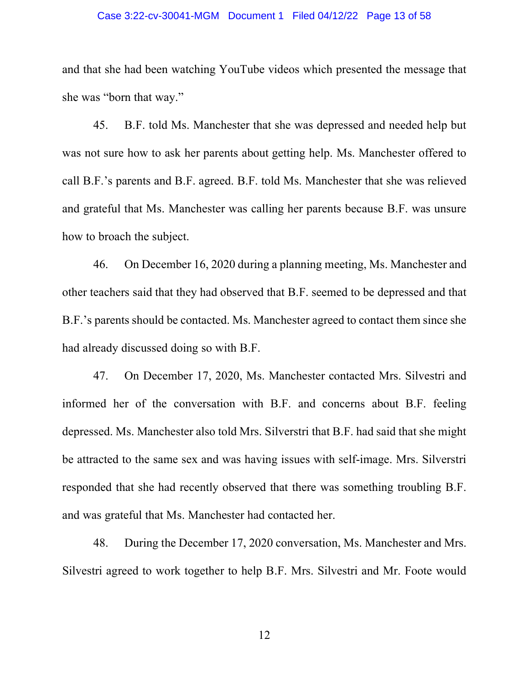#### Case 3:22-cv-30041-MGM Document 1 Filed 04/12/22 Page 13 of 58

and that she had been watching YouTube videos which presented the message that she was "born that way."

45. B.F. told Ms. Manchester that she was depressed and needed help but was not sure how to ask her parents about getting help. Ms. Manchester offered to call B.F.'s parents and B.F. agreed. B.F. told Ms. Manchester that she was relieved and grateful that Ms. Manchester was calling her parents because B.F. was unsure how to broach the subject.

46. On December 16, 2020 during a planning meeting, Ms. Manchester and other teachers said that they had observed that B.F. seemed to be depressed and that B.F.'s parents should be contacted. Ms. Manchester agreed to contact them since she had already discussed doing so with B.F.

47. On December 17, 2020, Ms. Manchester contacted Mrs. Silvestri and informed her of the conversation with B.F. and concerns about B.F. feeling depressed. Ms. Manchester also told Mrs. Silverstri that B.F. had said that she might be attracted to the same sex and was having issues with self-image. Mrs. Silverstri responded that she had recently observed that there was something troubling B.F. and was grateful that Ms. Manchester had contacted her.

48. During the December 17, 2020 conversation, Ms. Manchester and Mrs. Silvestri agreed to work together to help B.F. Mrs. Silvestri and Mr. Foote would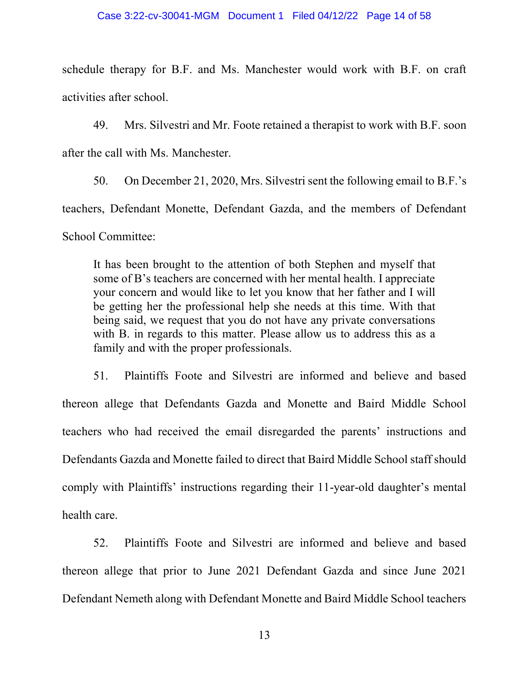schedule therapy for B.F. and Ms. Manchester would work with B.F. on craft activities after school.

49. Mrs. Silvestri and Mr. Foote retained a therapist to work with B.F. soon after the call with Ms. Manchester.

50. On December 21, 2020, Mrs. Silvestri sent the following email to B.F.'s teachers, Defendant Monette, Defendant Gazda, and the members of Defendant School Committee:

It has been brought to the attention of both Stephen and myself that some of B's teachers are concerned with her mental health. I appreciate your concern and would like to let you know that her father and I will be getting her the professional help she needs at this time. With that being said, we request that you do not have any private conversations with B. in regards to this matter. Please allow us to address this as a family and with the proper professionals.

51. Plaintiffs Foote and Silvestri are informed and believe and based thereon allege that Defendants Gazda and Monette and Baird Middle School teachers who had received the email disregarded the parents' instructions and Defendants Gazda and Monette failed to direct that Baird Middle School staff should comply with Plaintiffs' instructions regarding their 11-year-old daughter's mental health care.

52. Plaintiffs Foote and Silvestri are informed and believe and based thereon allege that prior to June 2021 Defendant Gazda and since June 2021 Defendant Nemeth along with Defendant Monette and Baird Middle School teachers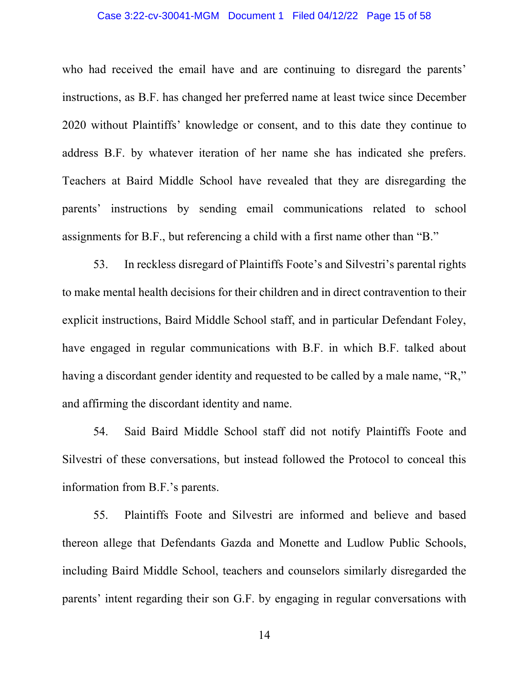# Case 3:22-cv-30041-MGM Document 1 Filed 04/12/22 Page 15 of 58

who had received the email have and are continuing to disregard the parents' instructions, as B.F. has changed her preferred name at least twice since December 2020 without Plaintiffs' knowledge or consent, and to this date they continue to address B.F. by whatever iteration of her name she has indicated she prefers. Teachers at Baird Middle School have revealed that they are disregarding the parents' instructions by sending email communications related to school assignments for B.F., but referencing a child with a first name other than "B."

53. In reckless disregard of Plaintiffs Foote's and Silvestri's parental rights to make mental health decisions for their children and in direct contravention to their explicit instructions, Baird Middle School staff, and in particular Defendant Foley, have engaged in regular communications with B.F. in which B.F. talked about having a discordant gender identity and requested to be called by a male name, "R," and affirming the discordant identity and name.

54. Said Baird Middle School staff did not notify Plaintiffs Foote and Silvestri of these conversations, but instead followed the Protocol to conceal this information from B.F.'s parents.

55. Plaintiffs Foote and Silvestri are informed and believe and based thereon allege that Defendants Gazda and Monette and Ludlow Public Schools, including Baird Middle School, teachers and counselors similarly disregarded the parents' intent regarding their son G.F. by engaging in regular conversations with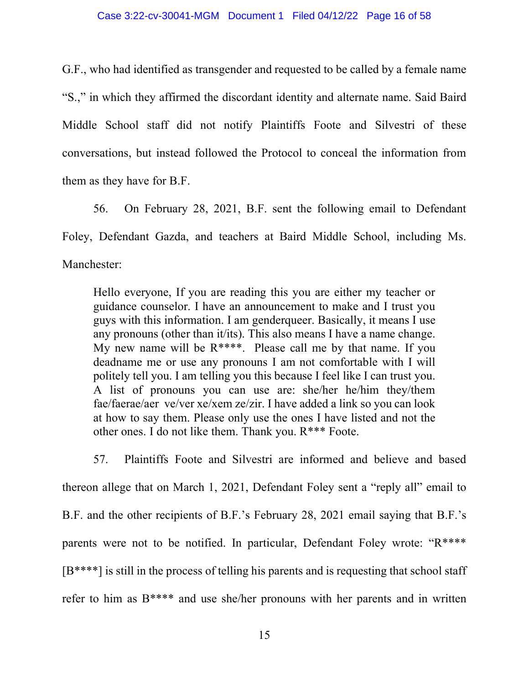G.F., who had identified as transgender and requested to be called by a female name "S.," in which they affirmed the discordant identity and alternate name. Said Baird Middle School staff did not notify Plaintiffs Foote and Silvestri of these conversations, but instead followed the Protocol to conceal the information from them as they have for B.F.

56. On February 28, 2021, B.F. sent the following email to Defendant Foley, Defendant Gazda, and teachers at Baird Middle School, including Ms. Manchester:

Hello everyone, If you are reading this you are either my teacher or guidance counselor. I have an announcement to make and I trust you guys with this information. I am genderqueer. Basically, it means I use any pronouns (other than it/its). This also means I have a name change. My new name will be  $R^{***}$ . Please call me by that name. If you deadname me or use any pronouns I am not comfortable with I will politely tell you. I am telling you this because I feel like I can trust you. A list of pronouns you can use are: she/her he/him they/them fae/faerae/aer ve/ver xe/xem ze/zir. I have added a link so you can look at how to say them. Please only use the ones I have listed and not the other ones. I do not like them. Thank you. R\*\*\* Foote.

57. Plaintiffs Foote and Silvestri are informed and believe and based thereon allege that on March 1, 2021, Defendant Foley sent a "reply all" email to B.F. and the other recipients of B.F.'s February 28, 2021 email saying that B.F.'s parents were not to be notified. In particular, Defendant Foley wrote: "R\*\*\*\*  $[B***^*]$  is still in the process of telling his parents and is requesting that school staff refer to him as B\*\*\*\* and use she/her pronouns with her parents and in written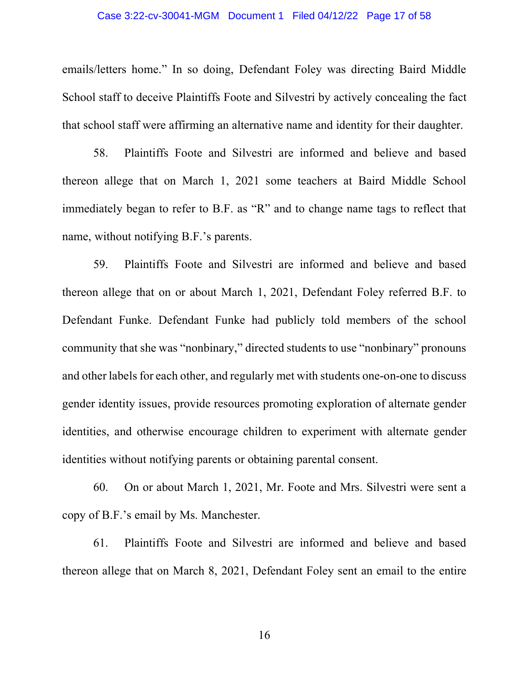#### Case 3:22-cv-30041-MGM Document 1 Filed 04/12/22 Page 17 of 58

emails/letters home." In so doing, Defendant Foley was directing Baird Middle School staff to deceive Plaintiffs Foote and Silvestri by actively concealing the fact that school staff were affirming an alternative name and identity for their daughter.

58. Plaintiffs Foote and Silvestri are informed and believe and based thereon allege that on March 1, 2021 some teachers at Baird Middle School immediately began to refer to B.F. as "R" and to change name tags to reflect that name, without notifying B.F.'s parents.

59. Plaintiffs Foote and Silvestri are informed and believe and based thereon allege that on or about March 1, 2021, Defendant Foley referred B.F. to Defendant Funke. Defendant Funke had publicly told members of the school community that she was "nonbinary," directed students to use "nonbinary" pronouns and other labels for each other, and regularly met with students one-on-one to discuss gender identity issues, provide resources promoting exploration of alternate gender identities, and otherwise encourage children to experiment with alternate gender identities without notifying parents or obtaining parental consent.

60. On or about March 1, 2021, Mr. Foote and Mrs. Silvestri were sent a copy of B.F.'s email by Ms. Manchester.

61. Plaintiffs Foote and Silvestri are informed and believe and based thereon allege that on March 8, 2021, Defendant Foley sent an email to the entire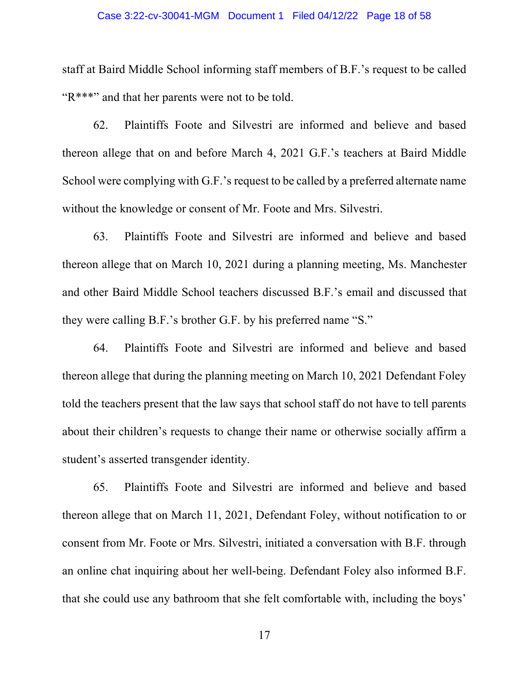#### Case 3:22-cv-30041-MGM Document 1 Filed 04/12/22 Page 18 of 58

staff at Baird Middle School informing staff members of B.F.'s request to be called "R\*\*\*" and that her parents were not to be told.

62. Plaintiffs Foote and Silvestri are informed and believe and based thereon allege that on and before March 4, 2021 G.F.'s teachers at Baird Middle School were complying with G.F.'s request to be called by a preferred alternate name without the knowledge or consent of Mr. Foote and Mrs. Silvestri.

63. Plaintiffs Foote and Silvestri are informed and believe and based thereon allege that on March 10, 2021 during a planning meeting, Ms. Manchester and other Baird Middle School teachers discussed B.F.'s email and discussed that they were calling B.F.'s brother G.F. by his preferred name "S."

64. Plaintiffs Foote and Silvestri are informed and believe and based thereon allege that during the planning meeting on March 10, 2021 Defendant Foley told the teachers present that the law says that school staff do not have to tell parents about their children's requests to change their name or otherwise socially affirm a student's asserted transgender identity.

65. Plaintiffs Foote and Silvestri are informed and believe and based thereon allege that on March 11, 2021, Defendant Foley, without notification to or consent from Mr. Foote or Mrs. Silvestri, initiated a conversation with B.F. through an online chat inquiring about her well-being. Defendant Foley also informed B.F. that she could use any bathroom that she felt comfortable with, including the boys'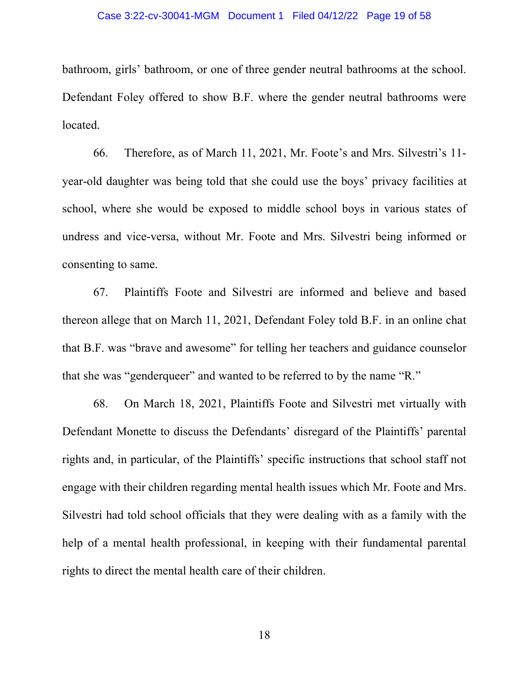#### Case 3:22-cv-30041-MGM Document 1 Filed 04/12/22 Page 19 of 58

bathroom, girls' bathroom, or one of three gender neutral bathrooms at the school. Defendant Foley offered to show B.F. where the gender neutral bathrooms were located.

66. Therefore, as of March 11, 2021, Mr. Foote's and Mrs. Silvestri's 11 year-old daughter was being told that she could use the boys' privacy facilities at school, where she would be exposed to middle school boys in various states of undress and vice-versa, without Mr. Foote and Mrs. Silvestri being informed or consenting to same.

67. Plaintiffs Foote and Silvestri are informed and believe and based thereon allege that on March 11, 2021, Defendant Foley told B.F. in an online chat that B.F. was "brave and awesome" for telling her teachers and guidance counselor that she was "genderqueer" and wanted to be referred to by the name "R."

68. On March 18, 2021, Plaintiffs Foote and Silvestri met virtually with Defendant Monette to discuss the Defendants' disregard of the Plaintiffs' parental rights and, in particular, of the Plaintiffs' specific instructions that school staff not engage with their children regarding mental health issues which Mr. Foote and Mrs. Silvestri had told school officials that they were dealing with as a family with the help of a mental health professional, in keeping with their fundamental parental rights to direct the mental health care of their children.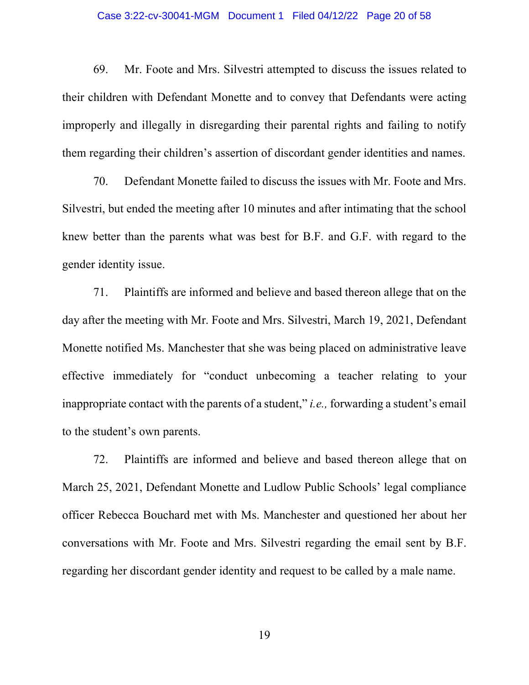#### Case 3:22-cv-30041-MGM Document 1 Filed 04/12/22 Page 20 of 58

69. Mr. Foote and Mrs. Silvestri attempted to discuss the issues related to their children with Defendant Monette and to convey that Defendants were acting improperly and illegally in disregarding their parental rights and failing to notify them regarding their children's assertion of discordant gender identities and names.

70. Defendant Monette failed to discuss the issues with Mr. Foote and Mrs. Silvestri, but ended the meeting after 10 minutes and after intimating that the school knew better than the parents what was best for B.F. and G.F. with regard to the gender identity issue.

71. Plaintiffs are informed and believe and based thereon allege that on the day after the meeting with Mr. Foote and Mrs. Silvestri, March 19, 2021, Defendant Monette notified Ms. Manchester that she was being placed on administrative leave effective immediately for "conduct unbecoming a teacher relating to your inappropriate contact with the parents of a student," *i.e.,* forwarding a student's email to the student's own parents.

72. Plaintiffs are informed and believe and based thereon allege that on March 25, 2021, Defendant Monette and Ludlow Public Schools' legal compliance officer Rebecca Bouchard met with Ms. Manchester and questioned her about her conversations with Mr. Foote and Mrs. Silvestri regarding the email sent by B.F. regarding her discordant gender identity and request to be called by a male name.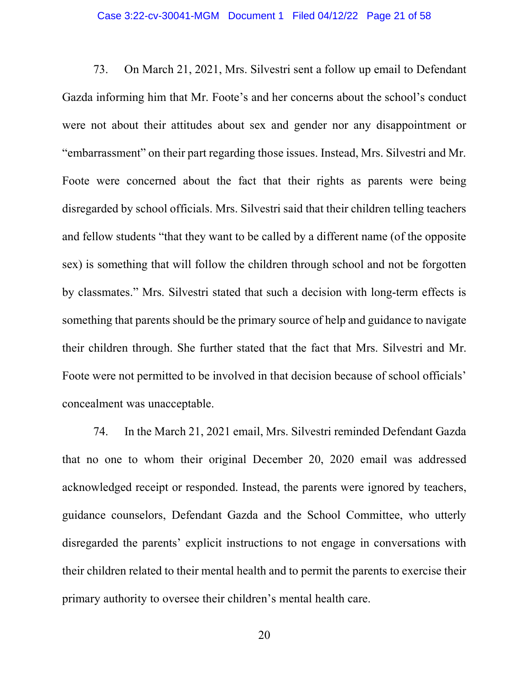73. On March 21, 2021, Mrs. Silvestri sent a follow up email to Defendant Gazda informing him that Mr. Foote's and her concerns about the school's conduct were not about their attitudes about sex and gender nor any disappointment or "embarrassment" on their part regarding those issues. Instead, Mrs. Silvestri and Mr. Foote were concerned about the fact that their rights as parents were being disregarded by school officials. Mrs. Silvestri said that their children telling teachers and fellow students "that they want to be called by a different name (of the opposite sex) is something that will follow the children through school and not be forgotten by classmates." Mrs. Silvestri stated that such a decision with long-term effects is something that parents should be the primary source of help and guidance to navigate their children through. She further stated that the fact that Mrs. Silvestri and Mr. Foote were not permitted to be involved in that decision because of school officials' concealment was unacceptable.

74. In the March 21, 2021 email, Mrs. Silvestri reminded Defendant Gazda that no one to whom their original December 20, 2020 email was addressed acknowledged receipt or responded. Instead, the parents were ignored by teachers, guidance counselors, Defendant Gazda and the School Committee, who utterly disregarded the parents' explicit instructions to not engage in conversations with their children related to their mental health and to permit the parents to exercise their primary authority to oversee their children's mental health care.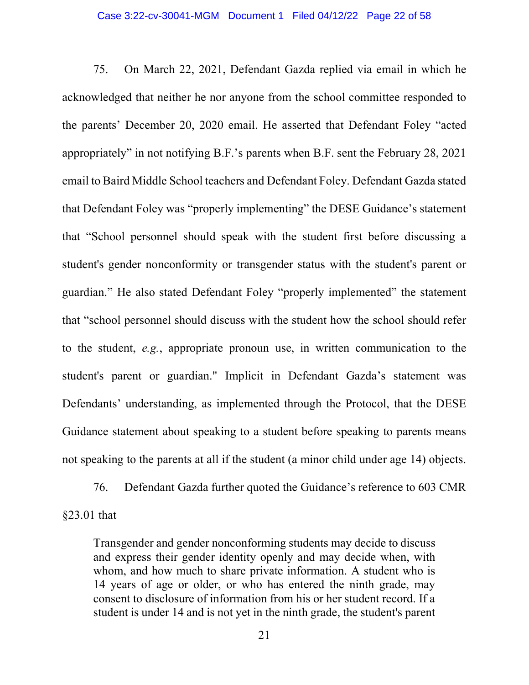75. On March 22, 2021, Defendant Gazda replied via email in which he acknowledged that neither he nor anyone from the school committee responded to the parents' December 20, 2020 email. He asserted that Defendant Foley "acted appropriately" in not notifying B.F.'s parents when B.F. sent the February 28, 2021 email to Baird Middle School teachers and Defendant Foley. Defendant Gazda stated that Defendant Foley was "properly implementing" the DESE Guidance's statement that "School personnel should speak with the student first before discussing a student's gender nonconformity or transgender status with the student's parent or guardian." He also stated Defendant Foley "properly implemented" the statement that "school personnel should discuss with the student how the school should refer to the student, *e.g.*, appropriate pronoun use, in written communication to the student's parent or guardian." Implicit in Defendant Gazda's statement was Defendants' understanding, as implemented through the Protocol, that the DESE Guidance statement about speaking to a student before speaking to parents means not speaking to the parents at all if the student (a minor child under age 14) objects.

76. Defendant Gazda further quoted the Guidance's reference to 603 CMR §23.01 that

Transgender and gender nonconforming students may decide to discuss and express their gender identity openly and may decide when, with whom, and how much to share private information. A student who is 14 years of age or older, or who has entered the ninth grade, may consent to disclosure of information from his or her student record. If a student is under 14 and is not yet in the ninth grade, the student's parent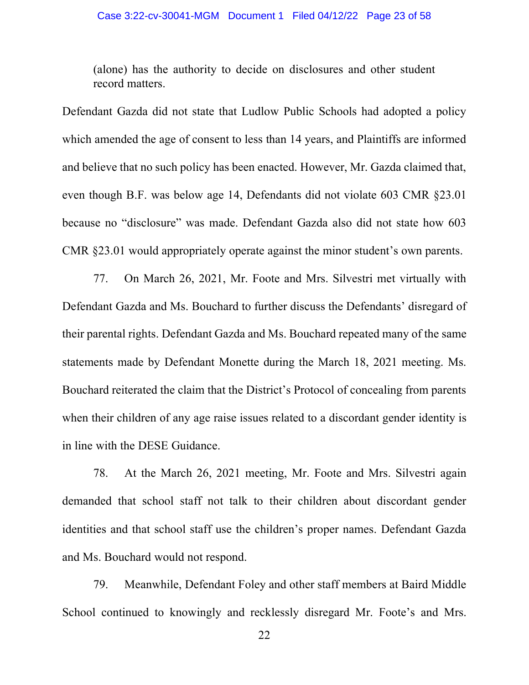(alone) has the authority to decide on disclosures and other student record matters.

Defendant Gazda did not state that Ludlow Public Schools had adopted a policy which amended the age of consent to less than 14 years, and Plaintiffs are informed and believe that no such policy has been enacted. However, Mr. Gazda claimed that, even though B.F. was below age 14, Defendants did not violate 603 CMR §23.01 because no "disclosure" was made. Defendant Gazda also did not state how 603 CMR §23.01 would appropriately operate against the minor student's own parents.

77. On March 26, 2021, Mr. Foote and Mrs. Silvestri met virtually with Defendant Gazda and Ms. Bouchard to further discuss the Defendants' disregard of their parental rights. Defendant Gazda and Ms. Bouchard repeated many of the same statements made by Defendant Monette during the March 18, 2021 meeting. Ms. Bouchard reiterated the claim that the District's Protocol of concealing from parents when their children of any age raise issues related to a discordant gender identity is in line with the DESE Guidance.

78. At the March 26, 2021 meeting, Mr. Foote and Mrs. Silvestri again demanded that school staff not talk to their children about discordant gender identities and that school staff use the children's proper names. Defendant Gazda and Ms. Bouchard would not respond.

79. Meanwhile, Defendant Foley and other staff members at Baird Middle School continued to knowingly and recklessly disregard Mr. Foote's and Mrs.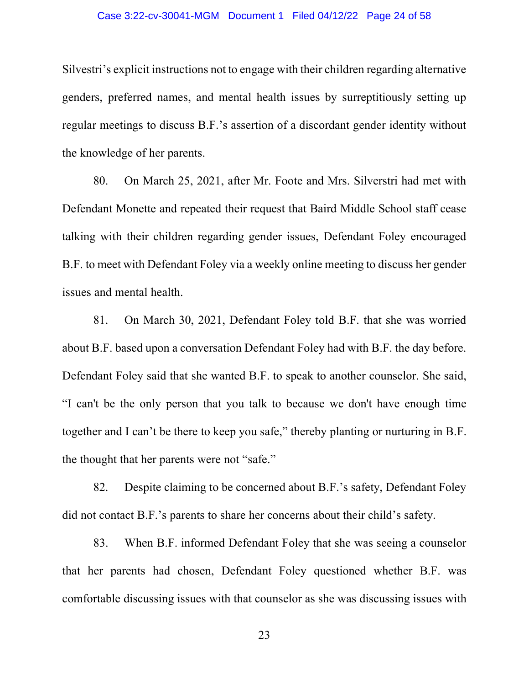#### Case 3:22-cv-30041-MGM Document 1 Filed 04/12/22 Page 24 of 58

Silvestri's explicit instructions not to engage with their children regarding alternative genders, preferred names, and mental health issues by surreptitiously setting up regular meetings to discuss B.F.'s assertion of a discordant gender identity without the knowledge of her parents.

80. On March 25, 2021, after Mr. Foote and Mrs. Silverstri had met with Defendant Monette and repeated their request that Baird Middle School staff cease talking with their children regarding gender issues, Defendant Foley encouraged B.F. to meet with Defendant Foley via a weekly online meeting to discuss her gender issues and mental health.

81. On March 30, 2021, Defendant Foley told B.F. that she was worried about B.F. based upon a conversation Defendant Foley had with B.F. the day before. Defendant Foley said that she wanted B.F. to speak to another counselor. She said, "I can't be the only person that you talk to because we don't have enough time together and I can't be there to keep you safe," thereby planting or nurturing in B.F. the thought that her parents were not "safe."

82. Despite claiming to be concerned about B.F.'s safety, Defendant Foley did not contact B.F.'s parents to share her concerns about their child's safety.

83. When B.F. informed Defendant Foley that she was seeing a counselor that her parents had chosen, Defendant Foley questioned whether B.F. was comfortable discussing issues with that counselor as she was discussing issues with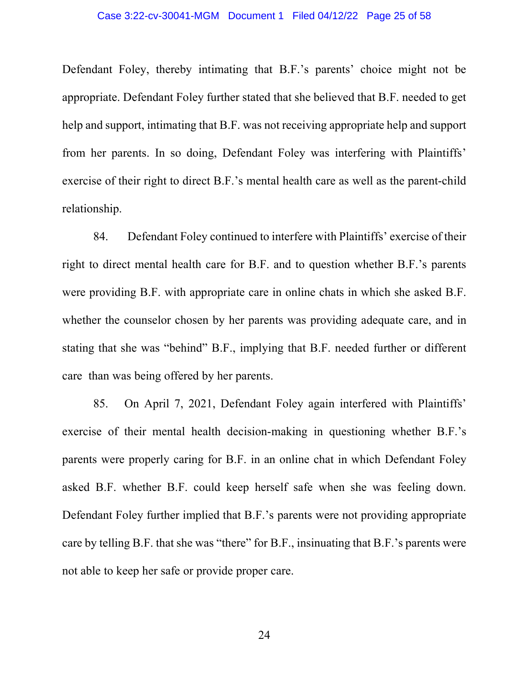#### Case 3:22-cv-30041-MGM Document 1 Filed 04/12/22 Page 25 of 58

Defendant Foley, thereby intimating that B.F.'s parents' choice might not be appropriate. Defendant Foley further stated that she believed that B.F. needed to get help and support, intimating that B.F. was not receiving appropriate help and support from her parents. In so doing, Defendant Foley was interfering with Plaintiffs' exercise of their right to direct B.F.'s mental health care as well as the parent-child relationship.

84. Defendant Foley continued to interfere with Plaintiffs' exercise of their right to direct mental health care for B.F. and to question whether B.F.'s parents were providing B.F. with appropriate care in online chats in which she asked B.F. whether the counselor chosen by her parents was providing adequate care, and in stating that she was "behind" B.F., implying that B.F. needed further or different care than was being offered by her parents.

85. On April 7, 2021, Defendant Foley again interfered with Plaintiffs' exercise of their mental health decision-making in questioning whether B.F.'s parents were properly caring for B.F. in an online chat in which Defendant Foley asked B.F. whether B.F. could keep herself safe when she was feeling down. Defendant Foley further implied that B.F.'s parents were not providing appropriate care by telling B.F. that she was "there" for B.F., insinuating that B.F.'s parents were not able to keep her safe or provide proper care.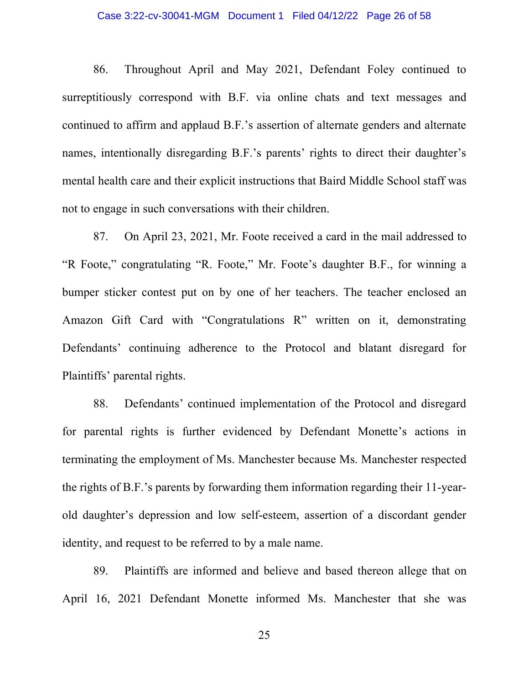### Case 3:22-cv-30041-MGM Document 1 Filed 04/12/22 Page 26 of 58

86. Throughout April and May 2021, Defendant Foley continued to surreptitiously correspond with B.F. via online chats and text messages and continued to affirm and applaud B.F.'s assertion of alternate genders and alternate names, intentionally disregarding B.F.'s parents' rights to direct their daughter's mental health care and their explicit instructions that Baird Middle School staff was not to engage in such conversations with their children.

87. On April 23, 2021, Mr. Foote received a card in the mail addressed to "R Foote," congratulating "R. Foote," Mr. Foote's daughter B.F., for winning a bumper sticker contest put on by one of her teachers. The teacher enclosed an Amazon Gift Card with "Congratulations R" written on it, demonstrating Defendants' continuing adherence to the Protocol and blatant disregard for Plaintiffs' parental rights.

88. Defendants' continued implementation of the Protocol and disregard for parental rights is further evidenced by Defendant Monette's actions in terminating the employment of Ms. Manchester because Ms. Manchester respected the rights of B.F.'s parents by forwarding them information regarding their 11-yearold daughter's depression and low self-esteem, assertion of a discordant gender identity, and request to be referred to by a male name.

89. Plaintiffs are informed and believe and based thereon allege that on April 16, 2021 Defendant Monette informed Ms. Manchester that she was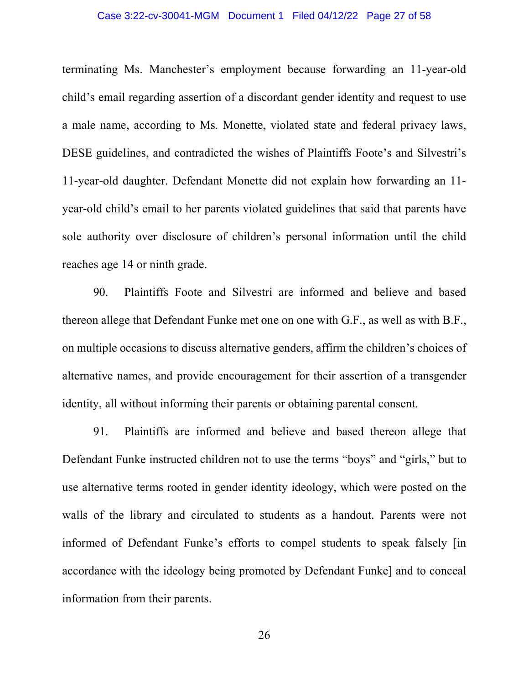#### Case 3:22-cv-30041-MGM Document 1 Filed 04/12/22 Page 27 of 58

terminating Ms. Manchester's employment because forwarding an 11-year-old child's email regarding assertion of a discordant gender identity and request to use a male name, according to Ms. Monette, violated state and federal privacy laws, DESE guidelines, and contradicted the wishes of Plaintiffs Foote's and Silvestri's 11-year-old daughter. Defendant Monette did not explain how forwarding an 11 year-old child's email to her parents violated guidelines that said that parents have sole authority over disclosure of children's personal information until the child reaches age 14 or ninth grade.

90. Plaintiffs Foote and Silvestri are informed and believe and based thereon allege that Defendant Funke met one on one with G.F., as well as with B.F., on multiple occasions to discuss alternative genders, affirm the children's choices of alternative names, and provide encouragement for their assertion of a transgender identity, all without informing their parents or obtaining parental consent.

91. Plaintiffs are informed and believe and based thereon allege that Defendant Funke instructed children not to use the terms "boys" and "girls," but to use alternative terms rooted in gender identity ideology, which were posted on the walls of the library and circulated to students as a handout. Parents were not informed of Defendant Funke's efforts to compel students to speak falsely [in accordance with the ideology being promoted by Defendant Funke] and to conceal information from their parents.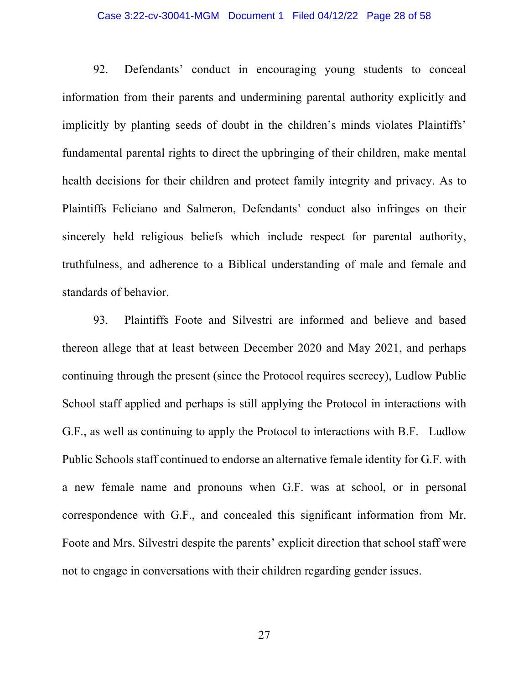# Case 3:22-cv-30041-MGM Document 1 Filed 04/12/22 Page 28 of 58

92. Defendants' conduct in encouraging young students to conceal information from their parents and undermining parental authority explicitly and implicitly by planting seeds of doubt in the children's minds violates Plaintiffs' fundamental parental rights to direct the upbringing of their children, make mental health decisions for their children and protect family integrity and privacy. As to Plaintiffs Feliciano and Salmeron, Defendants' conduct also infringes on their sincerely held religious beliefs which include respect for parental authority, truthfulness, and adherence to a Biblical understanding of male and female and standards of behavior.

93. Plaintiffs Foote and Silvestri are informed and believe and based thereon allege that at least between December 2020 and May 2021, and perhaps continuing through the present (since the Protocol requires secrecy), Ludlow Public School staff applied and perhaps is still applying the Protocol in interactions with G.F., as well as continuing to apply the Protocol to interactions with B.F. Ludlow Public Schools staff continued to endorse an alternative female identity for G.F. with a new female name and pronouns when G.F. was at school, or in personal correspondence with G.F., and concealed this significant information from Mr. Foote and Mrs. Silvestri despite the parents' explicit direction that school staff were not to engage in conversations with their children regarding gender issues.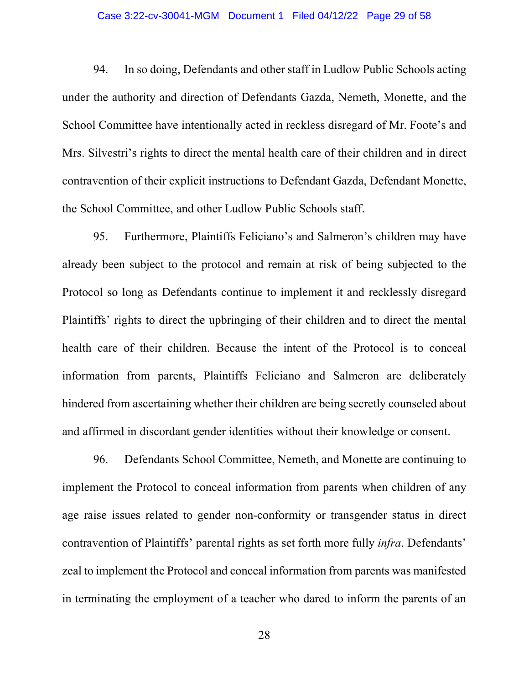#### Case 3:22-cv-30041-MGM Document 1 Filed 04/12/22 Page 29 of 58

94. In so doing, Defendants and other staff in Ludlow Public Schools acting under the authority and direction of Defendants Gazda, Nemeth, Monette, and the School Committee have intentionally acted in reckless disregard of Mr. Foote's and Mrs. Silvestri's rights to direct the mental health care of their children and in direct contravention of their explicit instructions to Defendant Gazda, Defendant Monette, the School Committee, and other Ludlow Public Schools staff.

95. Furthermore, Plaintiffs Feliciano's and Salmeron's children may have already been subject to the protocol and remain at risk of being subjected to the Protocol so long as Defendants continue to implement it and recklessly disregard Plaintiffs' rights to direct the upbringing of their children and to direct the mental health care of their children. Because the intent of the Protocol is to conceal information from parents, Plaintiffs Feliciano and Salmeron are deliberately hindered from ascertaining whether their children are being secretly counseled about and affirmed in discordant gender identities without their knowledge or consent.

96. Defendants School Committee, Nemeth, and Monette are continuing to implement the Protocol to conceal information from parents when children of any age raise issues related to gender non-conformity or transgender status in direct contravention of Plaintiffs' parental rights as set forth more fully *infra*. Defendants' zeal to implement the Protocol and conceal information from parents was manifested in terminating the employment of a teacher who dared to inform the parents of an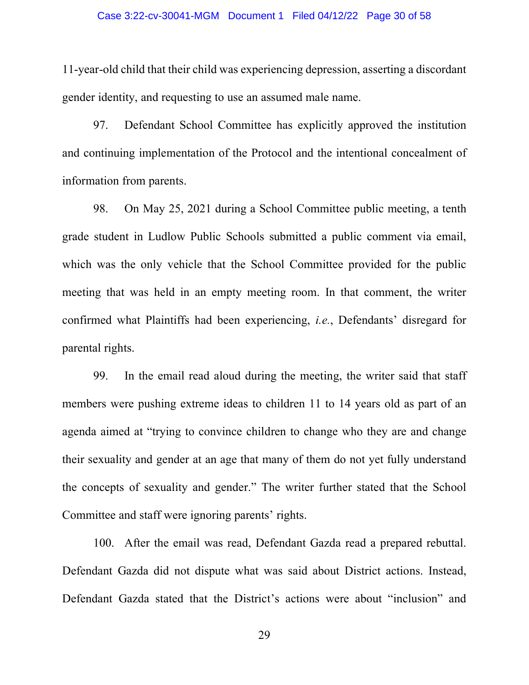### Case 3:22-cv-30041-MGM Document 1 Filed 04/12/22 Page 30 of 58

11-year-old child that their child was experiencing depression, asserting a discordant gender identity, and requesting to use an assumed male name.

97. Defendant School Committee has explicitly approved the institution and continuing implementation of the Protocol and the intentional concealment of information from parents.

98. On May 25, 2021 during a School Committee public meeting, a tenth grade student in Ludlow Public Schools submitted a public comment via email, which was the only vehicle that the School Committee provided for the public meeting that was held in an empty meeting room. In that comment, the writer confirmed what Plaintiffs had been experiencing, *i.e.*, Defendants' disregard for parental rights.

99. In the email read aloud during the meeting, the writer said that staff members were pushing extreme ideas to children 11 to 14 years old as part of an agenda aimed at "trying to convince children to change who they are and change their sexuality and gender at an age that many of them do not yet fully understand the concepts of sexuality and gender." The writer further stated that the School Committee and staff were ignoring parents' rights.

100. After the email was read, Defendant Gazda read a prepared rebuttal. Defendant Gazda did not dispute what was said about District actions. Instead, Defendant Gazda stated that the District's actions were about "inclusion" and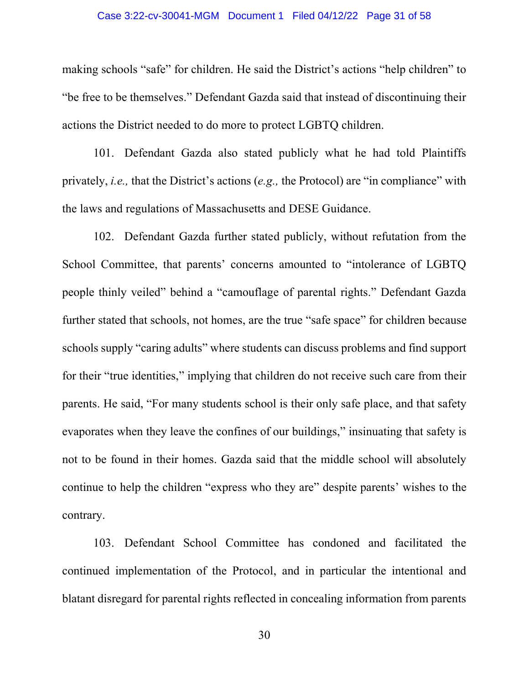# Case 3:22-cv-30041-MGM Document 1 Filed 04/12/22 Page 31 of 58

making schools "safe" for children. He said the District's actions "help children" to "be free to be themselves." Defendant Gazda said that instead of discontinuing their actions the District needed to do more to protect LGBTQ children.

101. Defendant Gazda also stated publicly what he had told Plaintiffs privately, *i.e.,* that the District's actions (*e.g.,* the Protocol) are "in compliance" with the laws and regulations of Massachusetts and DESE Guidance.

102. Defendant Gazda further stated publicly, without refutation from the School Committee, that parents' concerns amounted to "intolerance of LGBTQ people thinly veiled" behind a "camouflage of parental rights." Defendant Gazda further stated that schools, not homes, are the true "safe space" for children because schools supply "caring adults" where students can discuss problems and find support for their "true identities," implying that children do not receive such care from their parents. He said, "For many students school is their only safe place, and that safety evaporates when they leave the confines of our buildings," insinuating that safety is not to be found in their homes. Gazda said that the middle school will absolutely continue to help the children "express who they are" despite parents' wishes to the contrary.

103. Defendant School Committee has condoned and facilitated the continued implementation of the Protocol, and in particular the intentional and blatant disregard for parental rights reflected in concealing information from parents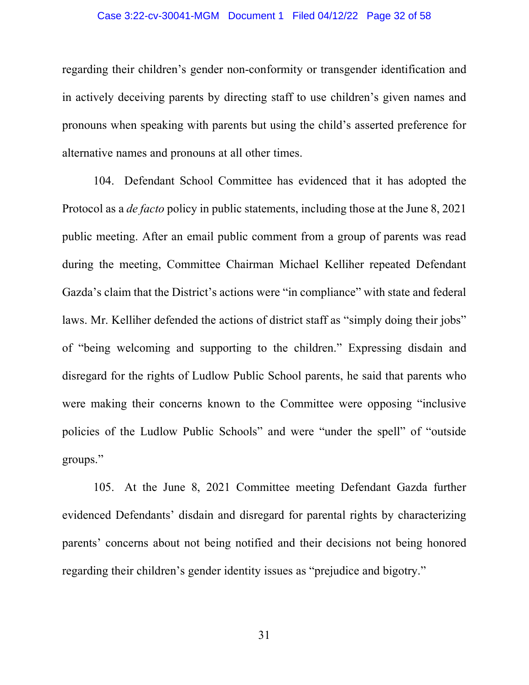# Case 3:22-cv-30041-MGM Document 1 Filed 04/12/22 Page 32 of 58

regarding their children's gender non-conformity or transgender identification and in actively deceiving parents by directing staff to use children's given names and pronouns when speaking with parents but using the child's asserted preference for alternative names and pronouns at all other times.

104. Defendant School Committee has evidenced that it has adopted the Protocol as a *de facto* policy in public statements, including those at the June 8, 2021 public meeting. After an email public comment from a group of parents was read during the meeting, Committee Chairman Michael Kelliher repeated Defendant Gazda's claim that the District's actions were "in compliance" with state and federal laws. Mr. Kelliher defended the actions of district staff as "simply doing their jobs" of "being welcoming and supporting to the children." Expressing disdain and disregard for the rights of Ludlow Public School parents, he said that parents who were making their concerns known to the Committee were opposing "inclusive policies of the Ludlow Public Schools" and were "under the spell" of "outside groups."

105. At the June 8, 2021 Committee meeting Defendant Gazda further evidenced Defendants' disdain and disregard for parental rights by characterizing parents' concerns about not being notified and their decisions not being honored regarding their children's gender identity issues as "prejudice and bigotry."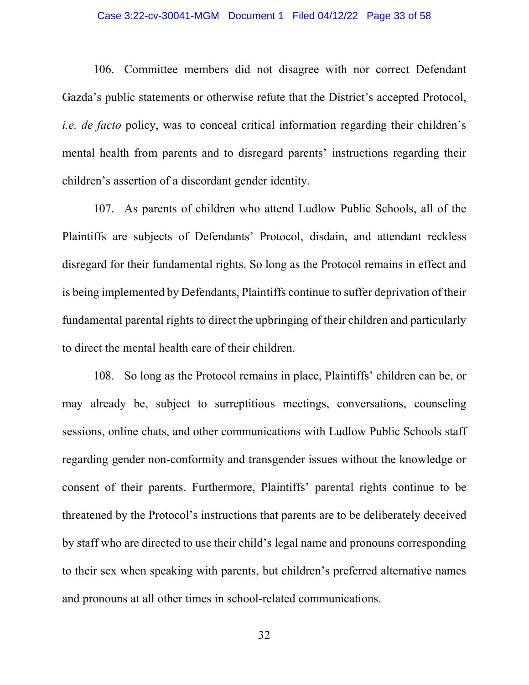### Case 3:22-cv-30041-MGM Document 1 Filed 04/12/22 Page 33 of 58

106. Committee members did not disagree with nor correct Defendant Gazda's public statements or otherwise refute that the District's accepted Protocol, *i.e. de facto* policy, was to conceal critical information regarding their children's mental health from parents and to disregard parents' instructions regarding their children's assertion of a discordant gender identity.

107. As parents of children who attend Ludlow Public Schools, all of the Plaintiffs are subjects of Defendants' Protocol, disdain, and attendant reckless disregard for their fundamental rights. So long as the Protocol remains in effect and is being implemented by Defendants, Plaintiffs continue to suffer deprivation of their fundamental parental rights to direct the upbringing of their children and particularly to direct the mental health care of their children.

108. So long as the Protocol remains in place, Plaintiffs' children can be, or may already be, subject to surreptitious meetings, conversations, counseling sessions, online chats, and other communications with Ludlow Public Schools staff regarding gender non-conformity and transgender issues without the knowledge or consent of their parents. Furthermore, Plaintiffs' parental rights continue to be threatened by the Protocol's instructions that parents are to be deliberately deceived by staff who are directed to use their child's legal name and pronouns corresponding to their sex when speaking with parents, but children's preferred alternative names and pronouns at all other times in school-related communications.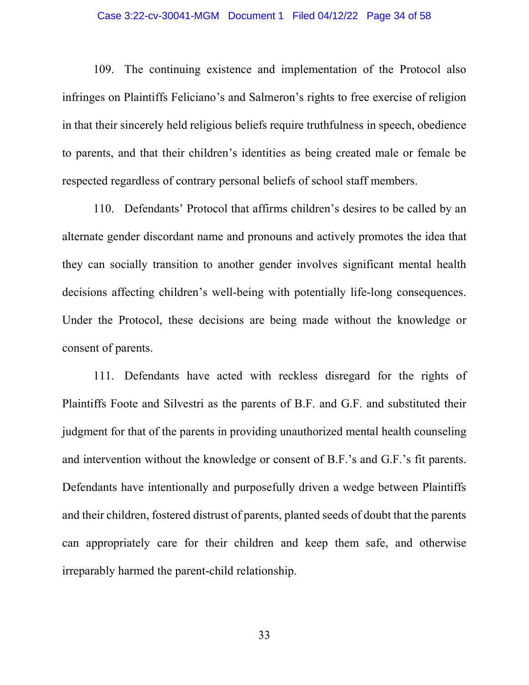#### Case 3:22-cv-30041-MGM Document 1 Filed 04/12/22 Page 34 of 58

109. The continuing existence and implementation of the Protocol also infringes on Plaintiffs Feliciano's and Salmeron's rights to free exercise of religion in that their sincerely held religious beliefs require truthfulness in speech, obedience to parents, and that their children's identities as being created male or female be respected regardless of contrary personal beliefs of school staff members.

110. Defendants' Protocol that affirms children's desires to be called by an alternate gender discordant name and pronouns and actively promotes the idea that they can socially transition to another gender involves significant mental health decisions affecting children's well-being with potentially life-long consequences. Under the Protocol, these decisions are being made without the knowledge or consent of parents.

111. Defendants have acted with reckless disregard for the rights of Plaintiffs Foote and Silvestri as the parents of B.F. and G.F. and substituted their judgment for that of the parents in providing unauthorized mental health counseling and intervention without the knowledge or consent of B.F.'s and G.F.'s fit parents. Defendants have intentionally and purposefully driven a wedge between Plaintiffs and their children, fostered distrust of parents, planted seeds of doubt that the parents can appropriately care for their children and keep them safe, and otherwise irreparably harmed the parent-child relationship.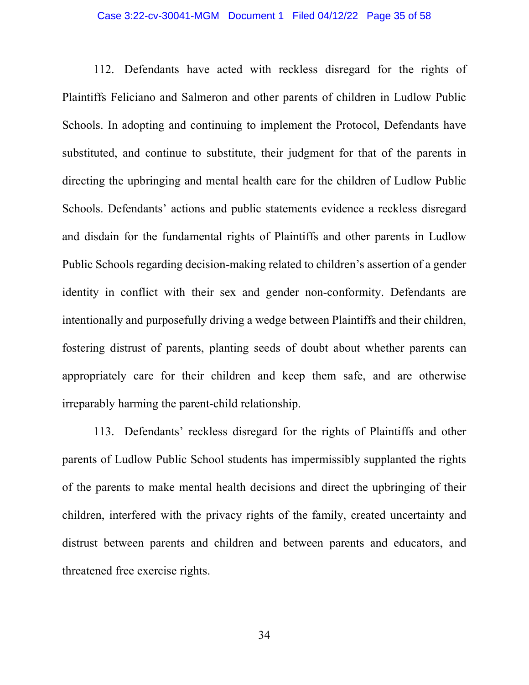# Case 3:22-cv-30041-MGM Document 1 Filed 04/12/22 Page 35 of 58

112. Defendants have acted with reckless disregard for the rights of Plaintiffs Feliciano and Salmeron and other parents of children in Ludlow Public Schools. In adopting and continuing to implement the Protocol, Defendants have substituted, and continue to substitute, their judgment for that of the parents in directing the upbringing and mental health care for the children of Ludlow Public Schools. Defendants' actions and public statements evidence a reckless disregard and disdain for the fundamental rights of Plaintiffs and other parents in Ludlow Public Schools regarding decision-making related to children's assertion of a gender identity in conflict with their sex and gender non-conformity. Defendants are intentionally and purposefully driving a wedge between Plaintiffs and their children, fostering distrust of parents, planting seeds of doubt about whether parents can appropriately care for their children and keep them safe, and are otherwise irreparably harming the parent-child relationship.

113. Defendants' reckless disregard for the rights of Plaintiffs and other parents of Ludlow Public School students has impermissibly supplanted the rights of the parents to make mental health decisions and direct the upbringing of their children, interfered with the privacy rights of the family, created uncertainty and distrust between parents and children and between parents and educators, and threatened free exercise rights.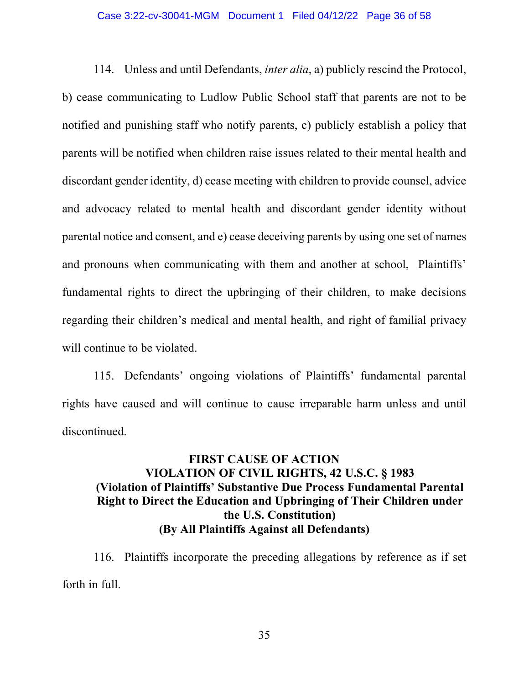#### Case 3:22-cv-30041-MGM Document 1 Filed 04/12/22 Page 36 of 58

114. Unless and until Defendants, *inter alia*, a) publicly rescind the Protocol, b) cease communicating to Ludlow Public School staff that parents are not to be notified and punishing staff who notify parents, c) publicly establish a policy that parents will be notified when children raise issues related to their mental health and discordant gender identity, d) cease meeting with children to provide counsel, advice and advocacy related to mental health and discordant gender identity without parental notice and consent, and e) cease deceiving parents by using one set of names and pronouns when communicating with them and another at school, Plaintiffs' fundamental rights to direct the upbringing of their children, to make decisions regarding their children's medical and mental health, and right of familial privacy will continue to be violated.

115. Defendants' ongoing violations of Plaintiffs' fundamental parental rights have caused and will continue to cause irreparable harm unless and until discontinued.

# **FIRST CAUSE OF ACTION VIOLATION OF CIVIL RIGHTS, 42 U.S.C. § 1983 (Violation of Plaintiffs' Substantive Due Process Fundamental Parental Right to Direct the Education and Upbringing of Their Children under the U.S. Constitution) (By All Plaintiffs Against all Defendants)**

116. Plaintiffs incorporate the preceding allegations by reference as if set forth in full.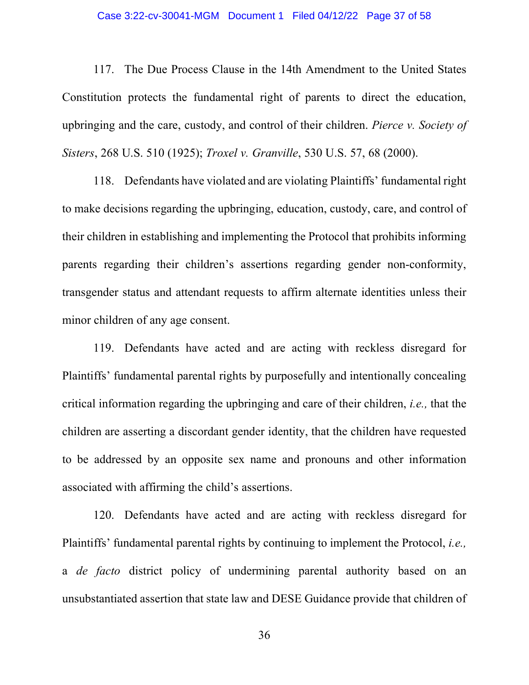### Case 3:22-cv-30041-MGM Document 1 Filed 04/12/22 Page 37 of 58

117. The Due Process Clause in the 14th Amendment to the United States Constitution protects the fundamental right of parents to direct the education, upbringing and the care, custody, and control of their children. *Pierce v. Society of Sisters*, 268 U.S. 510 (1925); *Troxel v. Granville*, 530 U.S. 57, 68 (2000).

118. Defendants have violated and are violating Plaintiffs' fundamental right to make decisions regarding the upbringing, education, custody, care, and control of their children in establishing and implementing the Protocol that prohibits informing parents regarding their children's assertions regarding gender non-conformity, transgender status and attendant requests to affirm alternate identities unless their minor children of any age consent.

119. Defendants have acted and are acting with reckless disregard for Plaintiffs' fundamental parental rights by purposefully and intentionally concealing critical information regarding the upbringing and care of their children, *i.e.,* that the children are asserting a discordant gender identity, that the children have requested to be addressed by an opposite sex name and pronouns and other information associated with affirming the child's assertions.

120. Defendants have acted and are acting with reckless disregard for Plaintiffs' fundamental parental rights by continuing to implement the Protocol, *i.e.,* a *de facto* district policy of undermining parental authority based on an unsubstantiated assertion that state law and DESE Guidance provide that children of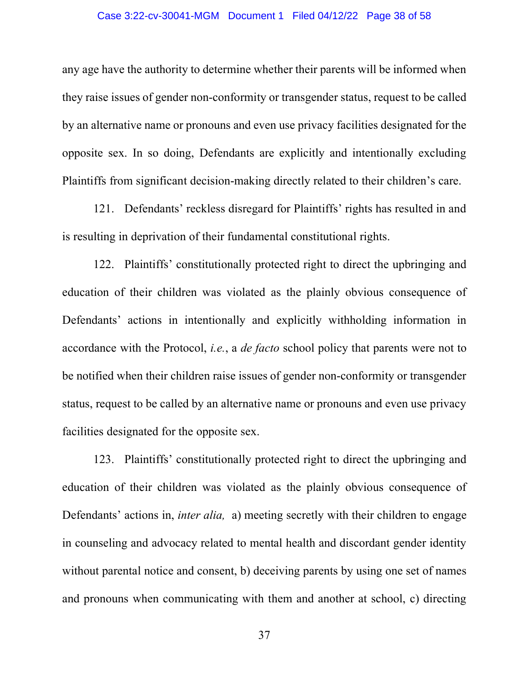# Case 3:22-cv-30041-MGM Document 1 Filed 04/12/22 Page 38 of 58

any age have the authority to determine whether their parents will be informed when they raise issues of gender non-conformity or transgender status, request to be called by an alternative name or pronouns and even use privacy facilities designated for the opposite sex. In so doing, Defendants are explicitly and intentionally excluding Plaintiffs from significant decision-making directly related to their children's care.

121. Defendants' reckless disregard for Plaintiffs' rights has resulted in and is resulting in deprivation of their fundamental constitutional rights.

122. Plaintiffs' constitutionally protected right to direct the upbringing and education of their children was violated as the plainly obvious consequence of Defendants' actions in intentionally and explicitly withholding information in accordance with the Protocol, *i.e.*, a *de facto* school policy that parents were not to be notified when their children raise issues of gender non-conformity or transgender status, request to be called by an alternative name or pronouns and even use privacy facilities designated for the opposite sex.

123. Plaintiffs' constitutionally protected right to direct the upbringing and education of their children was violated as the plainly obvious consequence of Defendants' actions in, *inter alia,* a) meeting secretly with their children to engage in counseling and advocacy related to mental health and discordant gender identity without parental notice and consent, b) deceiving parents by using one set of names and pronouns when communicating with them and another at school, c) directing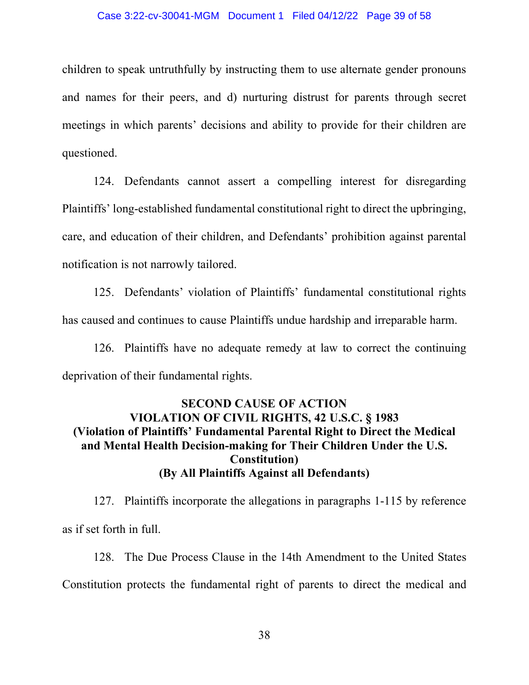#### Case 3:22-cv-30041-MGM Document 1 Filed 04/12/22 Page 39 of 58

children to speak untruthfully by instructing them to use alternate gender pronouns and names for their peers, and d) nurturing distrust for parents through secret meetings in which parents' decisions and ability to provide for their children are questioned.

124. Defendants cannot assert a compelling interest for disregarding Plaintiffs' long-established fundamental constitutional right to direct the upbringing, care, and education of their children, and Defendants' prohibition against parental notification is not narrowly tailored.

125. Defendants' violation of Plaintiffs' fundamental constitutional rights has caused and continues to cause Plaintiffs undue hardship and irreparable harm.

126. Plaintiffs have no adequate remedy at law to correct the continuing deprivation of their fundamental rights.

# **SECOND CAUSE OF ACTION VIOLATION OF CIVIL RIGHTS, 42 U.S.C. § 1983 (Violation of Plaintiffs' Fundamental Parental Right to Direct the Medical and Mental Health Decision-making for Their Children Under the U.S. Constitution) (By All Plaintiffs Against all Defendants)**

127. Plaintiffs incorporate the allegations in paragraphs 1-115 by reference as if set forth in full.

128. The Due Process Clause in the 14th Amendment to the United States Constitution protects the fundamental right of parents to direct the medical and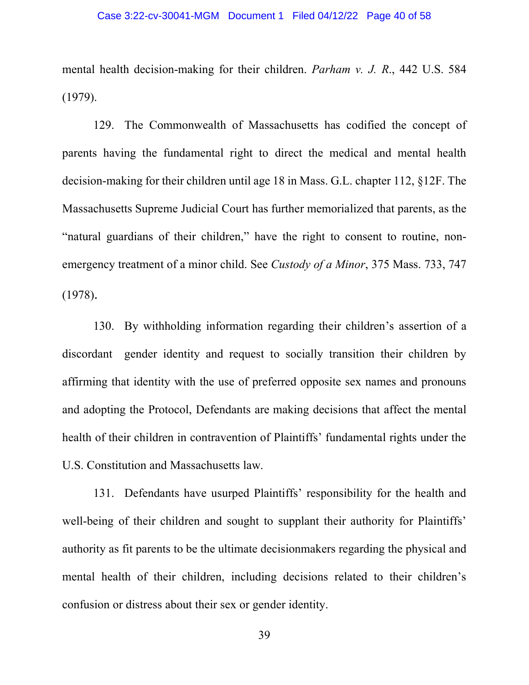mental health decision-making for their children. *Parham v. J. R*., 442 U.S. 584 (1979).

129. The Commonwealth of Massachusetts has codified the concept of parents having the fundamental right to direct the medical and mental health decision-making for their children until age 18 in Mass. G.L. chapter 112, §12F. The Massachusetts Supreme Judicial Court has further memorialized that parents, as the "natural guardians of their children," have the right to consent to routine, nonemergency treatment of a minor child. See *Custody of a Minor*, 375 Mass. 733, 747 (1978).

130. By withholding information regarding their children's assertion of a discordant gender identity and request to socially transition their children by affirming that identity with the use of preferred opposite sex names and pronouns and adopting the Protocol, Defendants are making decisions that affect the mental health of their children in contravention of Plaintiffs' fundamental rights under the U.S. Constitution and Massachusetts law.

131. Defendants have usurped Plaintiffs' responsibility for the health and well-being of their children and sought to supplant their authority for Plaintiffs' authority as fit parents to be the ultimate decisionmakers regarding the physical and mental health of their children, including decisions related to their children's confusion or distress about their sex or gender identity.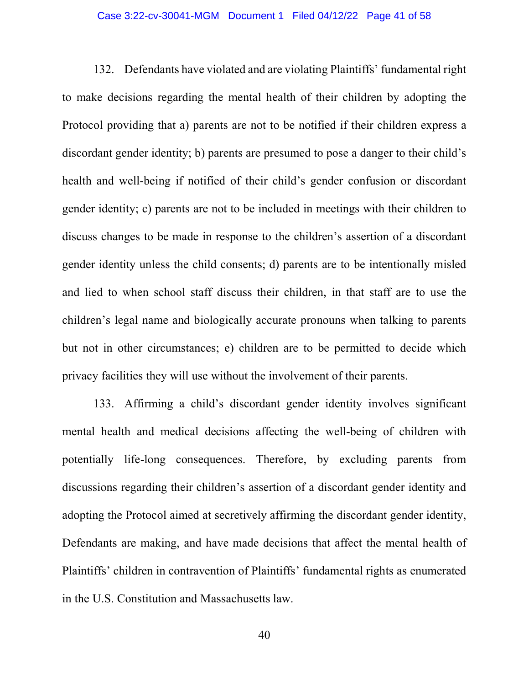# Case 3:22-cv-30041-MGM Document 1 Filed 04/12/22 Page 41 of 58

132. Defendants have violated and are violating Plaintiffs' fundamental right to make decisions regarding the mental health of their children by adopting the Protocol providing that a) parents are not to be notified if their children express a discordant gender identity; b) parents are presumed to pose a danger to their child's health and well-being if notified of their child's gender confusion or discordant gender identity; c) parents are not to be included in meetings with their children to discuss changes to be made in response to the children's assertion of a discordant gender identity unless the child consents; d) parents are to be intentionally misled and lied to when school staff discuss their children, in that staff are to use the children's legal name and biologically accurate pronouns when talking to parents but not in other circumstances; e) children are to be permitted to decide which privacy facilities they will use without the involvement of their parents.

133. Affirming a child's discordant gender identity involves significant mental health and medical decisions affecting the well-being of children with potentially life-long consequences. Therefore, by excluding parents from discussions regarding their children's assertion of a discordant gender identity and adopting the Protocol aimed at secretively affirming the discordant gender identity, Defendants are making, and have made decisions that affect the mental health of Plaintiffs' children in contravention of Plaintiffs' fundamental rights as enumerated in the U.S. Constitution and Massachusetts law.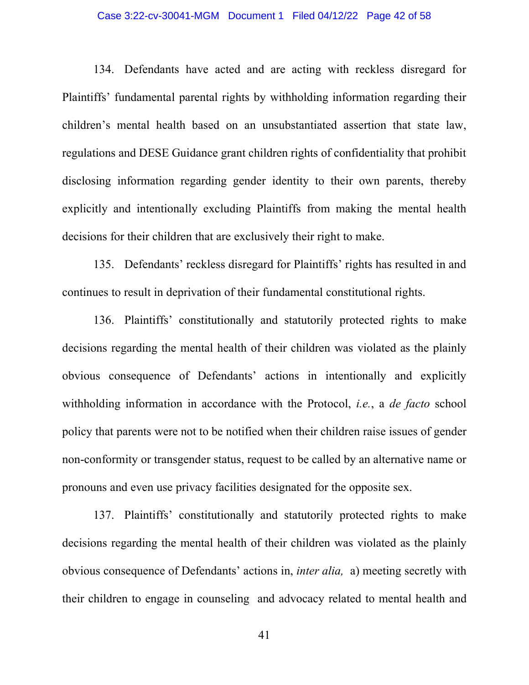# Case 3:22-cv-30041-MGM Document 1 Filed 04/12/22 Page 42 of 58

134. Defendants have acted and are acting with reckless disregard for Plaintiffs' fundamental parental rights by withholding information regarding their children's mental health based on an unsubstantiated assertion that state law, regulations and DESE Guidance grant children rights of confidentiality that prohibit disclosing information regarding gender identity to their own parents, thereby explicitly and intentionally excluding Plaintiffs from making the mental health decisions for their children that are exclusively their right to make.

135. Defendants' reckless disregard for Plaintiffs' rights has resulted in and continues to result in deprivation of their fundamental constitutional rights.

136. Plaintiffs' constitutionally and statutorily protected rights to make decisions regarding the mental health of their children was violated as the plainly obvious consequence of Defendants' actions in intentionally and explicitly withholding information in accordance with the Protocol, *i.e.*, a *de facto* school policy that parents were not to be notified when their children raise issues of gender non-conformity or transgender status, request to be called by an alternative name or pronouns and even use privacy facilities designated for the opposite sex.

137. Plaintiffs' constitutionally and statutorily protected rights to make decisions regarding the mental health of their children was violated as the plainly obvious consequence of Defendants' actions in, *inter alia,* a) meeting secretly with their children to engage in counseling and advocacy related to mental health and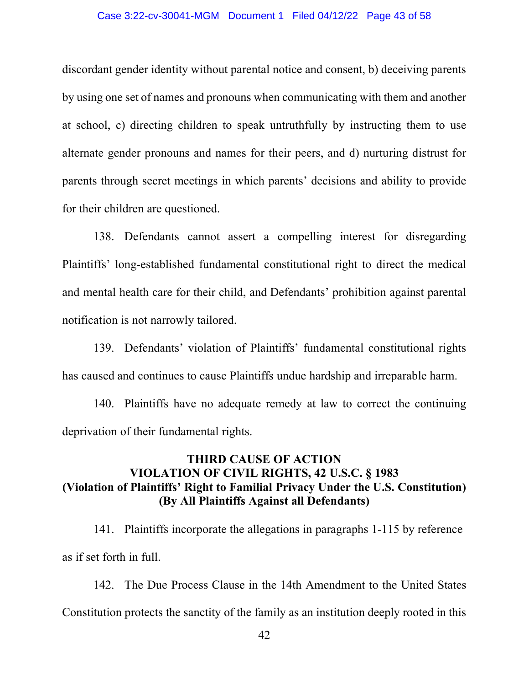# Case 3:22-cv-30041-MGM Document 1 Filed 04/12/22 Page 43 of 58

discordant gender identity without parental notice and consent, b) deceiving parents by using one set of names and pronouns when communicating with them and another at school, c) directing children to speak untruthfully by instructing them to use alternate gender pronouns and names for their peers, and d) nurturing distrust for parents through secret meetings in which parents' decisions and ability to provide for their children are questioned.

138. Defendants cannot assert a compelling interest for disregarding Plaintiffs' long-established fundamental constitutional right to direct the medical and mental health care for their child, and Defendants' prohibition against parental notification is not narrowly tailored.

139. Defendants' violation of Plaintiffs' fundamental constitutional rights has caused and continues to cause Plaintiffs undue hardship and irreparable harm.

140. Plaintiffs have no adequate remedy at law to correct the continuing deprivation of their fundamental rights.

# **THIRD CAUSE OF ACTION VIOLATION OF CIVIL RIGHTS, 42 U.S.C. § 1983 (Violation of Plaintiffs' Right to Familial Privacy Under the U.S. Constitution) (By All Plaintiffs Against all Defendants)**

141. Plaintiffs incorporate the allegations in paragraphs 1-115 by reference as if set forth in full.

142. The Due Process Clause in the 14th Amendment to the United States Constitution protects the sanctity of the family as an institution deeply rooted in this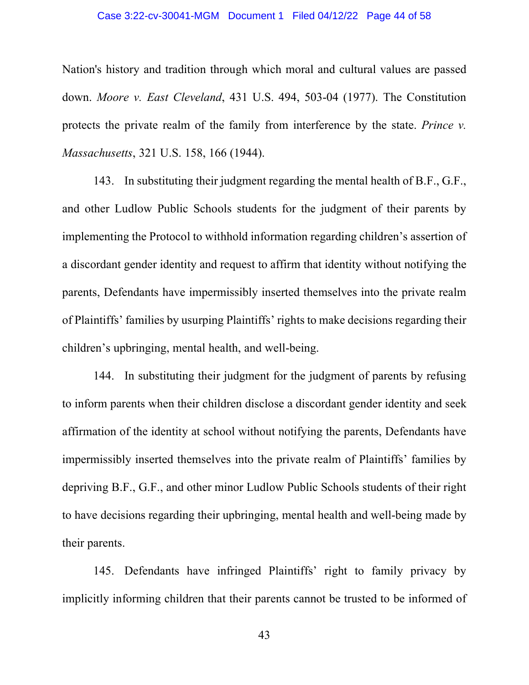### Case 3:22-cv-30041-MGM Document 1 Filed 04/12/22 Page 44 of 58

Nation's history and tradition through which moral and cultural values are passed down. *Moore v. East Cleveland*, 431 U.S. 494, 503-04 (1977). The Constitution protects the private realm of the family from interference by the state. *Prince v. Massachusetts*, 321 U.S. 158, 166 (1944).

143. In substituting their judgment regarding the mental health of B.F., G.F., and other Ludlow Public Schools students for the judgment of their parents by implementing the Protocol to withhold information regarding children's assertion of a discordant gender identity and request to affirm that identity without notifying the parents, Defendants have impermissibly inserted themselves into the private realm of Plaintiffs' families by usurping Plaintiffs' rights to make decisions regarding their children's upbringing, mental health, and well-being.

144. In substituting their judgment for the judgment of parents by refusing to inform parents when their children disclose a discordant gender identity and seek affirmation of the identity at school without notifying the parents, Defendants have impermissibly inserted themselves into the private realm of Plaintiffs' families by depriving B.F., G.F., and other minor Ludlow Public Schools students of their right to have decisions regarding their upbringing, mental health and well-being made by their parents.

145. Defendants have infringed Plaintiffs' right to family privacy by implicitly informing children that their parents cannot be trusted to be informed of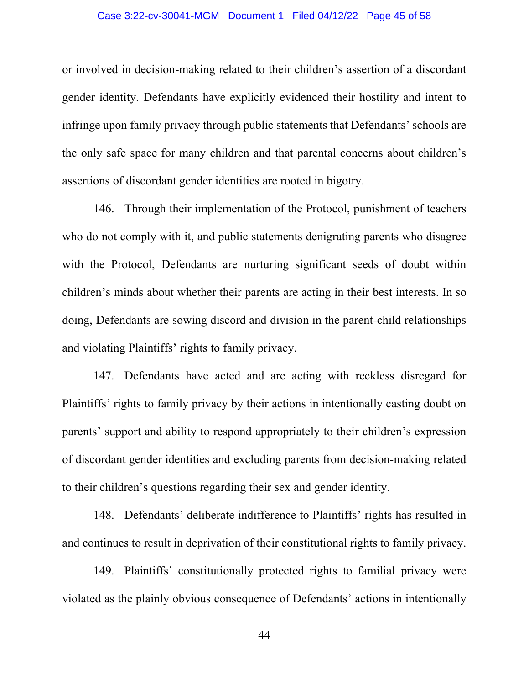# Case 3:22-cv-30041-MGM Document 1 Filed 04/12/22 Page 45 of 58

or involved in decision-making related to their children's assertion of a discordant gender identity. Defendants have explicitly evidenced their hostility and intent to infringe upon family privacy through public statements that Defendants' schools are the only safe space for many children and that parental concerns about children's assertions of discordant gender identities are rooted in bigotry.

146. Through their implementation of the Protocol, punishment of teachers who do not comply with it, and public statements denigrating parents who disagree with the Protocol, Defendants are nurturing significant seeds of doubt within children's minds about whether their parents are acting in their best interests. In so doing, Defendants are sowing discord and division in the parent-child relationships and violating Plaintiffs' rights to family privacy.

147. Defendants have acted and are acting with reckless disregard for Plaintiffs' rights to family privacy by their actions in intentionally casting doubt on parents' support and ability to respond appropriately to their children's expression of discordant gender identities and excluding parents from decision-making related to their children's questions regarding their sex and gender identity.

148. Defendants' deliberate indifference to Plaintiffs' rights has resulted in and continues to result in deprivation of their constitutional rights to family privacy.

149. Plaintiffs' constitutionally protected rights to familial privacy were violated as the plainly obvious consequence of Defendants' actions in intentionally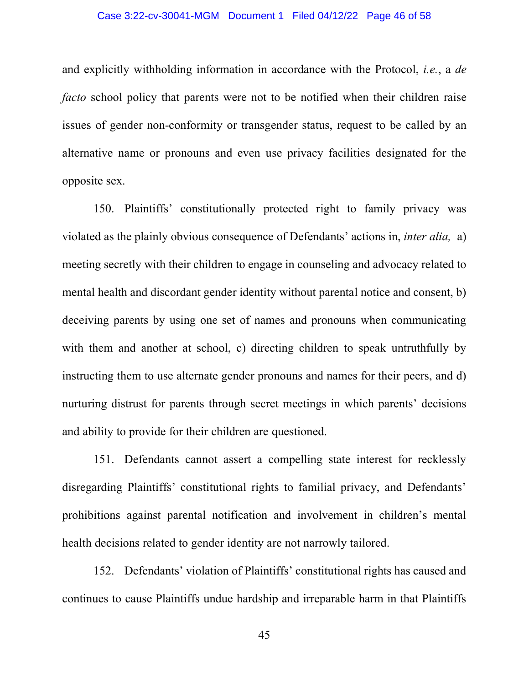# Case 3:22-cv-30041-MGM Document 1 Filed 04/12/22 Page 46 of 58

and explicitly withholding information in accordance with the Protocol, *i.e.*, a *de facto* school policy that parents were not to be notified when their children raise issues of gender non-conformity or transgender status, request to be called by an alternative name or pronouns and even use privacy facilities designated for the opposite sex.

150. Plaintiffs' constitutionally protected right to family privacy was violated as the plainly obvious consequence of Defendants' actions in, *inter alia,* a) meeting secretly with their children to engage in counseling and advocacy related to mental health and discordant gender identity without parental notice and consent, b) deceiving parents by using one set of names and pronouns when communicating with them and another at school, c) directing children to speak untruthfully by instructing them to use alternate gender pronouns and names for their peers, and d) nurturing distrust for parents through secret meetings in which parents' decisions and ability to provide for their children are questioned.

151. Defendants cannot assert a compelling state interest for recklessly disregarding Plaintiffs' constitutional rights to familial privacy, and Defendants' prohibitions against parental notification and involvement in children's mental health decisions related to gender identity are not narrowly tailored.

152. Defendants' violation of Plaintiffs' constitutional rights has caused and continues to cause Plaintiffs undue hardship and irreparable harm in that Plaintiffs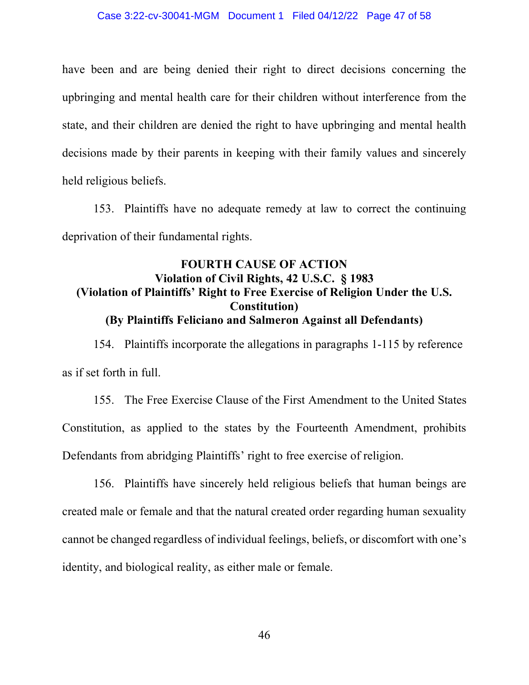have been and are being denied their right to direct decisions concerning the upbringing and mental health care for their children without interference from the state, and their children are denied the right to have upbringing and mental health decisions made by their parents in keeping with their family values and sincerely held religious beliefs.

153. Plaintiffs have no adequate remedy at law to correct the continuing deprivation of their fundamental rights.

# **FOURTH CAUSE OF ACTION Violation of Civil Rights, 42 U.S.C. § 1983 (Violation of Plaintiffs' Right to Free Exercise of Religion Under the U.S. Constitution) (By Plaintiffs Feliciano and Salmeron Against all Defendants)**

154. Plaintiffs incorporate the allegations in paragraphs 1-115 by reference as if set forth in full.

155. The Free Exercise Clause of the First Amendment to the United States Constitution, as applied to the states by the Fourteenth Amendment, prohibits Defendants from abridging Plaintiffs' right to free exercise of religion.

156. Plaintiffs have sincerely held religious beliefs that human beings are created male or female and that the natural created order regarding human sexuality cannot be changed regardless of individual feelings, beliefs, or discomfort with one's identity, and biological reality, as either male or female.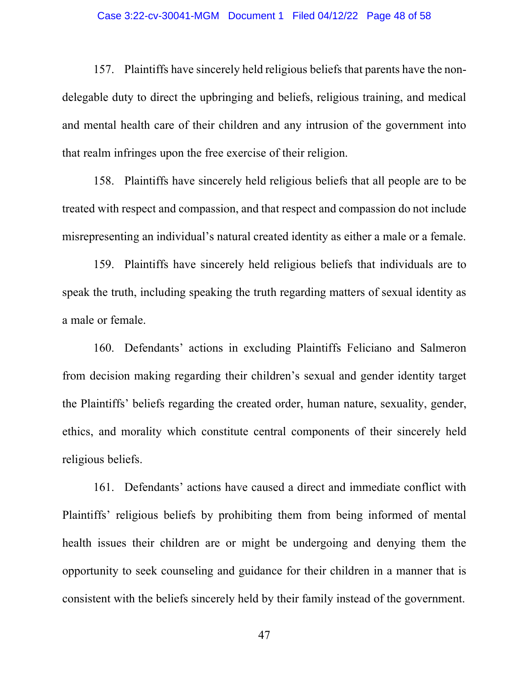### Case 3:22-cv-30041-MGM Document 1 Filed 04/12/22 Page 48 of 58

157. Plaintiffs have sincerely held religious beliefs that parents have the nondelegable duty to direct the upbringing and beliefs, religious training, and medical and mental health care of their children and any intrusion of the government into that realm infringes upon the free exercise of their religion.

158. Plaintiffs have sincerely held religious beliefs that all people are to be treated with respect and compassion, and that respect and compassion do not include misrepresenting an individual's natural created identity as either a male or a female.

159. Plaintiffs have sincerely held religious beliefs that individuals are to speak the truth, including speaking the truth regarding matters of sexual identity as a male or female.

160. Defendants' actions in excluding Plaintiffs Feliciano and Salmeron from decision making regarding their children's sexual and gender identity target the Plaintiffs' beliefs regarding the created order, human nature, sexuality, gender, ethics, and morality which constitute central components of their sincerely held religious beliefs.

161. Defendants' actions have caused a direct and immediate conflict with Plaintiffs' religious beliefs by prohibiting them from being informed of mental health issues their children are or might be undergoing and denying them the opportunity to seek counseling and guidance for their children in a manner that is consistent with the beliefs sincerely held by their family instead of the government.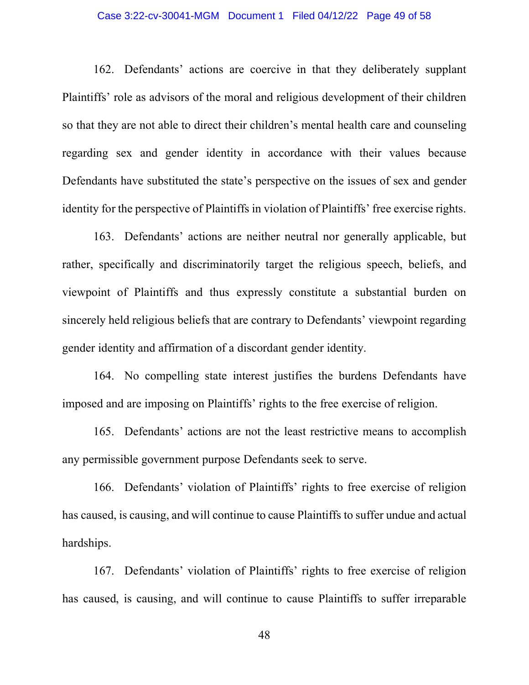# Case 3:22-cv-30041-MGM Document 1 Filed 04/12/22 Page 49 of 58

162. Defendants' actions are coercive in that they deliberately supplant Plaintiffs' role as advisors of the moral and religious development of their children so that they are not able to direct their children's mental health care and counseling regarding sex and gender identity in accordance with their values because Defendants have substituted the state's perspective on the issues of sex and gender identity for the perspective of Plaintiffs in violation of Plaintiffs' free exercise rights.

163. Defendants' actions are neither neutral nor generally applicable, but rather, specifically and discriminatorily target the religious speech, beliefs, and viewpoint of Plaintiffs and thus expressly constitute a substantial burden on sincerely held religious beliefs that are contrary to Defendants' viewpoint regarding gender identity and affirmation of a discordant gender identity.

164. No compelling state interest justifies the burdens Defendants have imposed and are imposing on Plaintiffs' rights to the free exercise of religion.

165. Defendants' actions are not the least restrictive means to accomplish any permissible government purpose Defendants seek to serve.

166. Defendants' violation of Plaintiffs' rights to free exercise of religion has caused, is causing, and will continue to cause Plaintiffs to suffer undue and actual hardships.

167. Defendants' violation of Plaintiffs' rights to free exercise of religion has caused, is causing, and will continue to cause Plaintiffs to suffer irreparable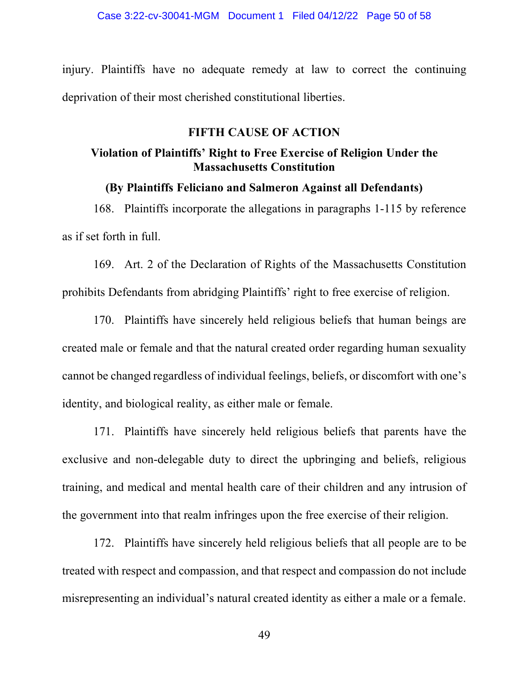injury. Plaintiffs have no adequate remedy at law to correct the continuing deprivation of their most cherished constitutional liberties.

# **FIFTH CAUSE OF ACTION**

# **Violation of Plaintiffs' Right to Free Exercise of Religion Under the Massachusetts Constitution**

# **(By Plaintiffs Feliciano and Salmeron Against all Defendants)**

168. Plaintiffs incorporate the allegations in paragraphs 1-115 by reference as if set forth in full.

169. Art. 2 of the Declaration of Rights of the Massachusetts Constitution prohibits Defendants from abridging Plaintiffs' right to free exercise of religion.

170. Plaintiffs have sincerely held religious beliefs that human beings are created male or female and that the natural created order regarding human sexuality cannot be changed regardless of individual feelings, beliefs, or discomfort with one's identity, and biological reality, as either male or female.

171. Plaintiffs have sincerely held religious beliefs that parents have the exclusive and non-delegable duty to direct the upbringing and beliefs, religious training, and medical and mental health care of their children and any intrusion of the government into that realm infringes upon the free exercise of their religion.

172. Plaintiffs have sincerely held religious beliefs that all people are to be treated with respect and compassion, and that respect and compassion do not include misrepresenting an individual's natural created identity as either a male or a female.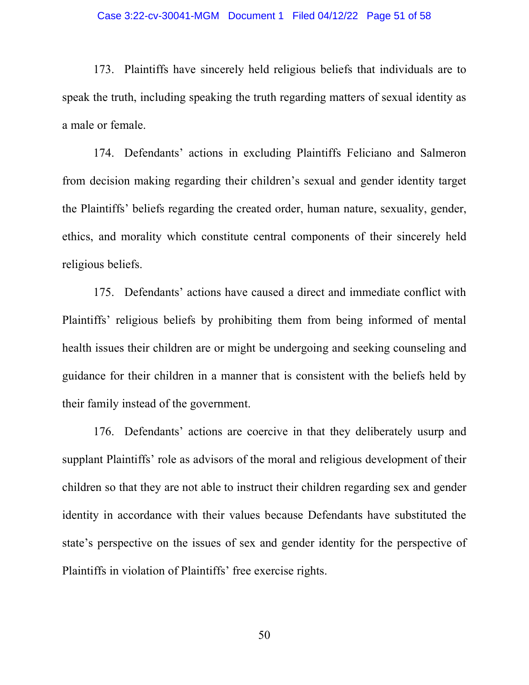173. Plaintiffs have sincerely held religious beliefs that individuals are to speak the truth, including speaking the truth regarding matters of sexual identity as a male or female.

174. Defendants' actions in excluding Plaintiffs Feliciano and Salmeron from decision making regarding their children's sexual and gender identity target the Plaintiffs' beliefs regarding the created order, human nature, sexuality, gender, ethics, and morality which constitute central components of their sincerely held religious beliefs.

175. Defendants' actions have caused a direct and immediate conflict with Plaintiffs' religious beliefs by prohibiting them from being informed of mental health issues their children are or might be undergoing and seeking counseling and guidance for their children in a manner that is consistent with the beliefs held by their family instead of the government.

176. Defendants' actions are coercive in that they deliberately usurp and supplant Plaintiffs' role as advisors of the moral and religious development of their children so that they are not able to instruct their children regarding sex and gender identity in accordance with their values because Defendants have substituted the state's perspective on the issues of sex and gender identity for the perspective of Plaintiffs in violation of Plaintiffs' free exercise rights.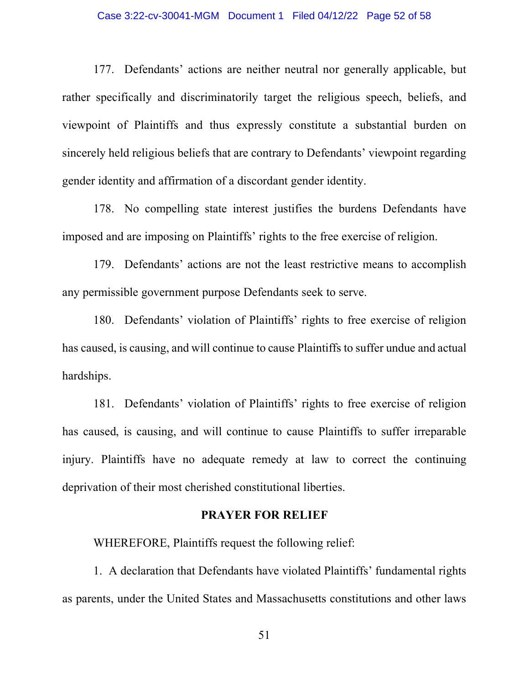# Case 3:22-cv-30041-MGM Document 1 Filed 04/12/22 Page 52 of 58

177. Defendants' actions are neither neutral nor generally applicable, but rather specifically and discriminatorily target the religious speech, beliefs, and viewpoint of Plaintiffs and thus expressly constitute a substantial burden on sincerely held religious beliefs that are contrary to Defendants' viewpoint regarding gender identity and affirmation of a discordant gender identity.

178. No compelling state interest justifies the burdens Defendants have imposed and are imposing on Plaintiffs' rights to the free exercise of religion.

179. Defendants' actions are not the least restrictive means to accomplish any permissible government purpose Defendants seek to serve.

180. Defendants' violation of Plaintiffs' rights to free exercise of religion has caused, is causing, and will continue to cause Plaintiffs to suffer undue and actual hardships.

181. Defendants' violation of Plaintiffs' rights to free exercise of religion has caused, is causing, and will continue to cause Plaintiffs to suffer irreparable injury. Plaintiffs have no adequate remedy at law to correct the continuing deprivation of their most cherished constitutional liberties.

# **PRAYER FOR RELIEF**

WHEREFORE, Plaintiffs request the following relief:

1. A declaration that Defendants have violated Plaintiffs' fundamental rights as parents, under the United States and Massachusetts constitutions and other laws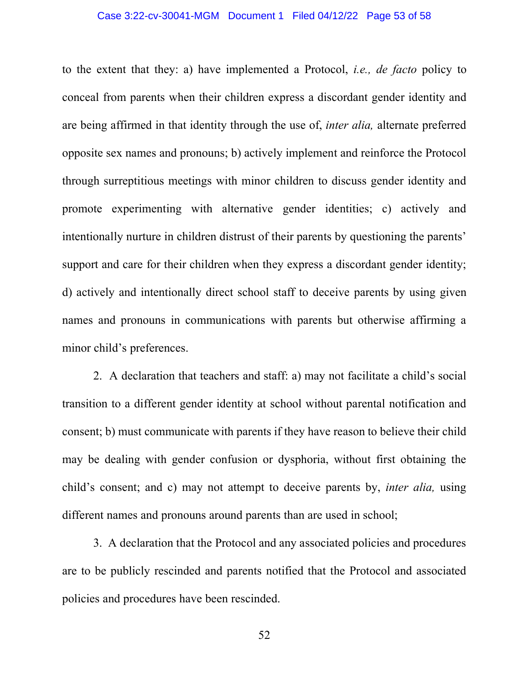to the extent that they: a) have implemented a Protocol, *i.e., de facto* policy to conceal from parents when their children express a discordant gender identity and are being affirmed in that identity through the use of, *inter alia,* alternate preferred opposite sex names and pronouns; b) actively implement and reinforce the Protocol through surreptitious meetings with minor children to discuss gender identity and promote experimenting with alternative gender identities; c) actively and intentionally nurture in children distrust of their parents by questioning the parents' support and care for their children when they express a discordant gender identity; d) actively and intentionally direct school staff to deceive parents by using given names and pronouns in communications with parents but otherwise affirming a minor child's preferences.

2. A declaration that teachers and staff: a) may not facilitate a child's social transition to a different gender identity at school without parental notification and consent; b) must communicate with parents if they have reason to believe their child may be dealing with gender confusion or dysphoria, without first obtaining the child's consent; and c) may not attempt to deceive parents by, *inter alia,* using different names and pronouns around parents than are used in school;

3. A declaration that the Protocol and any associated policies and procedures are to be publicly rescinded and parents notified that the Protocol and associated policies and procedures have been rescinded.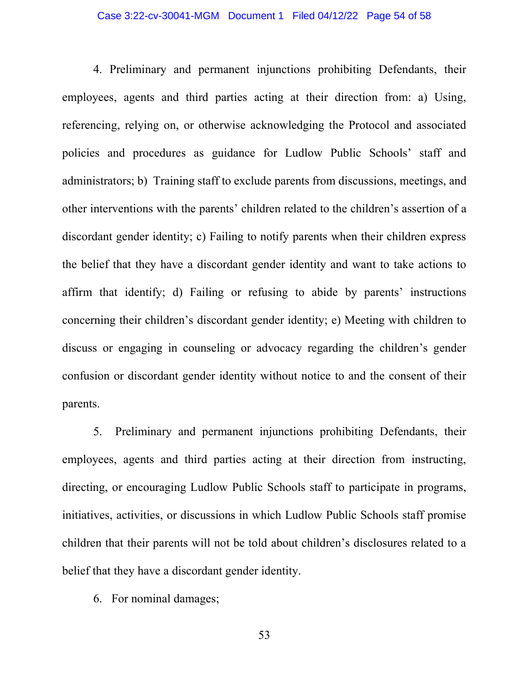4. Preliminary and permanent injunctions prohibiting Defendants, their employees, agents and third parties acting at their direction from: a) Using, referencing, relying on, or otherwise acknowledging the Protocol and associated policies and procedures as guidance for Ludlow Public Schools' staff and administrators; b) Training staff to exclude parents from discussions, meetings, and other interventions with the parents' children related to the children's assertion of a discordant gender identity; c) Failing to notify parents when their children express the belief that they have a discordant gender identity and want to take actions to affirm that identify; d) Failing or refusing to abide by parents' instructions concerning their children's discordant gender identity; e) Meeting with children to discuss or engaging in counseling or advocacy regarding the children's gender confusion or discordant gender identity without notice to and the consent of their parents.

5. Preliminary and permanent injunctions prohibiting Defendants, their employees, agents and third parties acting at their direction from instructing, directing, or encouraging Ludlow Public Schools staff to participate in programs, initiatives, activities, or discussions in which Ludlow Public Schools staff promise children that their parents will not be told about children's disclosures related to a belief that they have a discordant gender identity.

6. For nominal damages;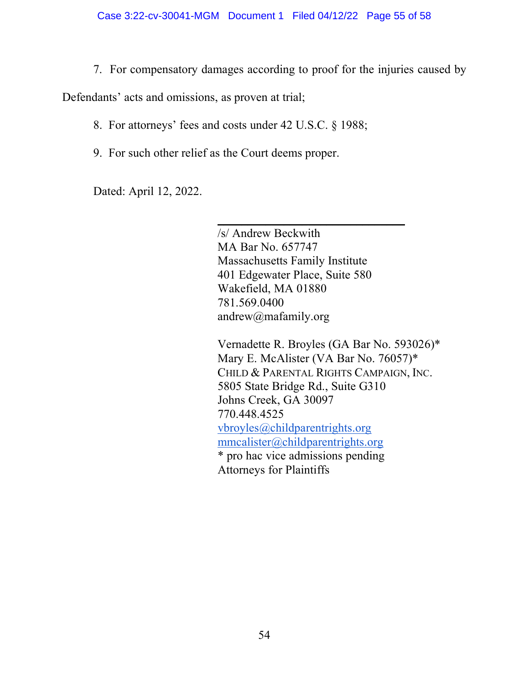7. For compensatory damages according to proof for the injuries caused by

Defendants' acts and omissions, as proven at trial;

8. For attorneys' fees and costs under 42 U.S.C. § 1988;

 $\mathcal{L}_\text{max}$  and  $\mathcal{L}_\text{max}$  and  $\mathcal{L}_\text{max}$  are the contract of the contract of the contract of the contract of the contract of the contract of the contract of the contract of the contract of the contract of the con

9. For such other relief as the Court deems proper.

Dated: April 12, 2022.

 /s/ Andrew Beckwith MA Bar No. 657747 Massachusetts Family Institute 401 Edgewater Place, Suite 580 Wakefield, MA 01880 781.569.0400 andrew@mafamily.org

Vernadette R. Broyles (GA Bar No. 593026)\* Mary E. McAlister (VA Bar No. 76057)\* CHILD & PARENTAL RIGHTS CAMPAIGN, INC. 5805 State Bridge Rd., Suite G310 Johns Creek, GA 30097 770.448.4525 vbroyles@childparentrights.org mmcalister@childparentrights.org \* pro hac vice admissions pending Attorneys for Plaintiffs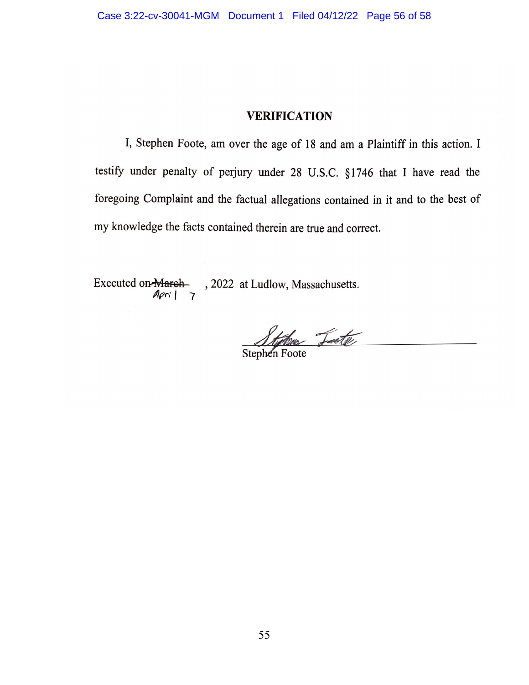# **VERIFICATION**

I, Stephen Foote, am over the age of 18 and am a Plaintiff in this action. I testify under penalty of perjury under 28 U.S.C. §1746 that I have read the foregoing Complaint and the factual allegations contained in it and to the best of my knowledge the facts contained therein are true and correct.

Executed on-March-, 2022 at Ludlow, Massachusetts.  $Apri$  7

Stylves Jeste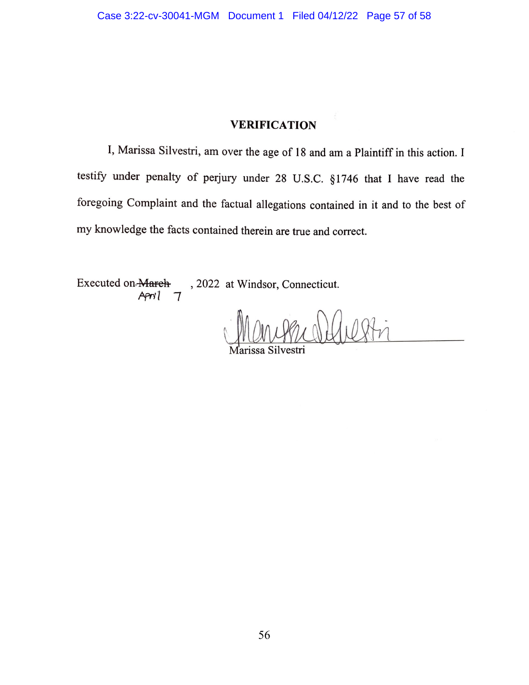# **VERIFICATION**

I, Marissa Silvestri, am over the age of 18 and am a Plaintiff in this action. I testify under penalty of perjury under 28 U.S.C. §1746 that I have read the foregoing Complaint and the factual allegations contained in it and to the best of my knowledge the facts contained therein are true and correct.

Executed on March , 2022 at Windsor, Connecticut. April  $\tau$ 

56